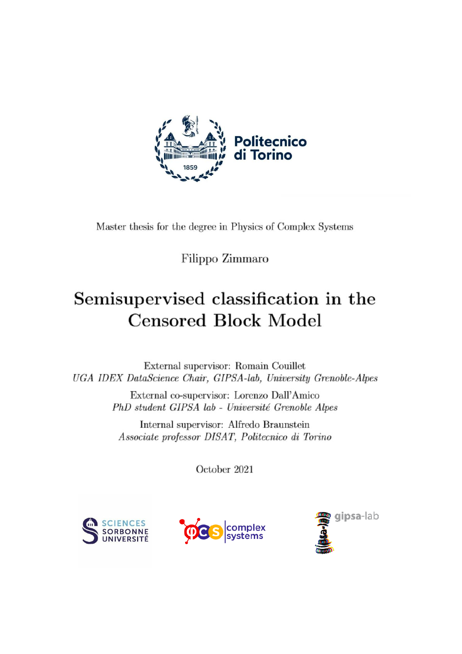

Master thesis for the degree in Physics of Complex Systems

Filippo Zimmaro

# Semisupervised classification in the **Censored Block Model**

External supervisor: Romain Couillet UGA IDEX DataScience Chair, GIPSA-lab, University Grenoble-Alpes

> External co-supervisor: Lorenzo Dall'Amico PhD student GIPSA lab - Université Grenoble Alpes

Internal supervisor: Alfredo Braunstein Associate professor DISAT, Politecnico di Torino

October 2021





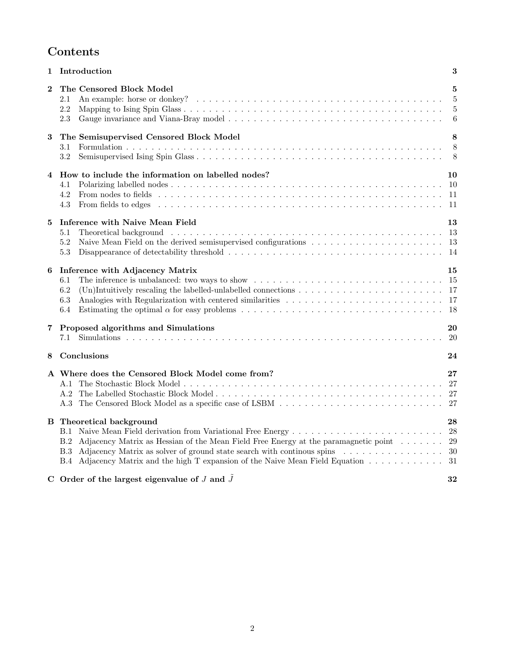# Contents

| 1                       | Introduction                                                                                                                                                                                                                                                                                                                  | 3                             |
|-------------------------|-------------------------------------------------------------------------------------------------------------------------------------------------------------------------------------------------------------------------------------------------------------------------------------------------------------------------------|-------------------------------|
| $\bf{2}$                | The Censored Block Model<br>2.1<br>2.2<br>2.3                                                                                                                                                                                                                                                                                 | 5<br>5<br>$\overline{5}$<br>6 |
| $\bf 3$                 | The Semisupervised Censored Block Model<br>3.1<br>3.2                                                                                                                                                                                                                                                                         | 8<br>8<br>- 8                 |
| $\overline{\mathbf{4}}$ | How to include the information on labelled nodes?<br>4.1<br>4.2<br>4.3                                                                                                                                                                                                                                                        | 10<br>-10                     |
| 5                       | Inference with Naive Mean Field<br>5.1<br>5.2<br>5.3                                                                                                                                                                                                                                                                          | 13<br>13                      |
| 6                       | Inference with Adjacency Matrix<br>6.1<br>6.2<br>6.3<br>6.4                                                                                                                                                                                                                                                                   | 15                            |
| 7                       | Proposed algorithms and Simulations                                                                                                                                                                                                                                                                                           | 20<br>20                      |
| 8                       | Conclusions                                                                                                                                                                                                                                                                                                                   | 24                            |
|                         | A Where does the Censored Block Model come from?<br>A.1<br>A.2                                                                                                                                                                                                                                                                | $27\,$                        |
|                         | <b>B</b> Theoretical background<br>B.1<br>Adjacency Matrix as Hessian of the Mean Field Free Energy at the paramagnetic point $\dots \dots$<br>B.2<br>Adjacency Matrix as solver of ground state search with continuous spins<br><b>B.3</b><br>B.4 Adjacency Matrix and the high T expansion of the Naive Mean Field Equation | 28<br>28<br>-29<br>-30<br>31  |
|                         | C Order of the largest eigenvalue of $J$ and $\tilde{J}$                                                                                                                                                                                                                                                                      | 32                            |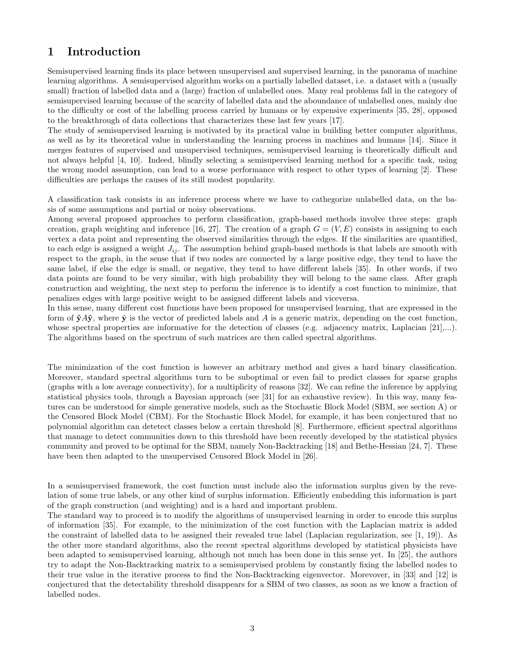# 1 Introduction

Semisupervised learning finds its place between unsupervised and supervised learning, in the panorama of machine learning algorithms. A semisupervised algorithm works on a partially labelled dataset, i.e. a dataset with a (usually small) fraction of labelled data and a (large) fraction of unlabelled ones. Many real problems fall in the category of semisupervised learning because of the scarcity of labelled data and the aboundance of unlabelled ones, mainly due to the difficulty or cost of the labelling process carried by humans or by expensive experiments [35, 28], opposed to the breakthrough of data collections that characterizes these last few years [17].

The study of semisupervised learning is motivated by its practical value in building better computer algorithms, as well as by its theoretical value in understanding the learning process in machines and humans [14]. Since it merges features of supervised and unsupervised techniques, semisupervised learning is theoretically difficult and not always helpful [4, 10]. Indeed, blindly selecting a semisupervised learning method for a specific task, using the wrong model assumption, can lead to a worse performance with respect to other types of learning [2]. These difficulties are perhaps the causes of its still modest popularity.

A classification task consists in an inference process where we have to cathegorize unlabelled data, on the basis of some assumptions and partial or noisy observations.

Among several proposed approaches to perform classification, graph-based methods involve three steps: graph creation, graph weighting and inference [16, 27]. The creation of a graph  $G = (V, E)$  consists in assigning to each vertex a data point and representing the observed similarities through the edges. If the similarities are quantified, to each edge is assigned a weight  $J_{ij}$ . The assumption behind graph-based methods is that labels are smooth with respect to the graph, in the sense that if two nodes are connected by a large positive edge, they tend to have the same label, if else the edge is small, or negative, they tend to have different labels [35]. In other words, if two data points are found to be very similar, with high probability they will belong to the same class. After graph construction and weighting, the next step to perform the inference is to identify a cost function to minimize, that penalizes edges with large positive weight to be assigned different labels and viceversa.

In this sense, many different cost functions have been proposed for unsupervised learning, that are expressed in the form of  $\hat{\mathbf{y}}A\hat{\mathbf{y}}$ , where  $\hat{\mathbf{y}}$  is the vector of predicted labels and A is a generic matrix, depending on the cost function, whose spectral properties are informative for the detection of classes (e.g. adjacency matrix, Laplacian [21],...). The algorithms based on the spectrum of such matrices are then called spectral algorithms.

The minimization of the cost function is however an arbitrary method and gives a hard binary classification. Moreover, standard spectral algorithms turn to be suboptimal or even fail to predict classes for sparse graphs (graphs with a low average connectivity), for a multiplicity of reasons [32]. We can refine the inference by applying statistical physics tools, through a Bayesian approach (see [31] for an exhaustive review). In this way, many features can be understood for simple generative models, such as the Stochastic Block Model (SBM, see section A) or the Censored Block Model (CBM). For the Stochastic Block Model, for example, it has been conjectured that no polynomial algorithm can detetect classes below a certain threshold [8]. Furthermore, efficient spectral algorithms that manage to detect communities down to this threshold have been recently developed by the statistical physics community and proved to be optimal for the SBM, namely Non-Backtracking [18] and Bethe-Hessian [24, 7]. These have been then adapted to the unsupervised Censored Block Model in [26].

In a semisupervised framework, the cost function must include also the information surplus given by the revelation of some true labels, or any other kind of surplus information. Efficiently embedding this information is part of the graph construction (and weighting) and is a hard and important problem.

The standard way to proceed is to modify the algorithms of unsupervised learning in order to encode this surplus of information [35]. For example, to the minimization of the cost function with the Laplacian matrix is added the constraint of labelled data to be assigned their revealed true label (Laplacian regularization, see [1, 19]). As the other more standard algorithms, also the recent spectral algorithms developed by statistical physicists have been adapted to semisupervised learning, although not much has been done in this sense yet. In [25], the authors try to adapt the Non-Backtracking matrix to a semisupervised problem by constantly fixing the labelled nodes to their true value in the iterative process to find the Non-Backtracking eigenvector. Morevover, in [33] and [12] is conjectured that the detectability threshold disappears for a SBM of two classes, as soon as we know a fraction of labelled nodes.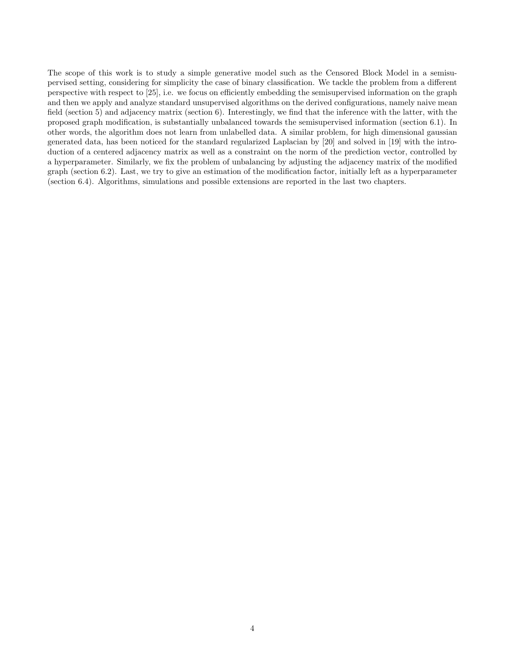The scope of this work is to study a simple generative model such as the Censored Block Model in a semisupervised setting, considering for simplicity the case of binary classification. We tackle the problem from a different perspective with respect to [25], i.e. we focus on efficiently embedding the semisupervised information on the graph and then we apply and analyze standard unsupervised algorithms on the derived configurations, namely naive mean field (section 5) and adjacency matrix (section 6). Interestingly, we find that the inference with the latter, with the proposed graph modification, is substantially unbalanced towards the semisupervised information (section 6.1). In other words, the algorithm does not learn from unlabelled data. A similar problem, for high dimensional gaussian generated data, has been noticed for the standard regularized Laplacian by [20] and solved in [19] with the introduction of a centered adjacency matrix as well as a constraint on the norm of the prediction vector, controlled by a hyperparameter. Similarly, we fix the problem of unbalancing by adjusting the adjacency matrix of the modified graph (section 6.2). Last, we try to give an estimation of the modification factor, initially left as a hyperparameter (section 6.4). Algorithms, simulations and possible extensions are reported in the last two chapters.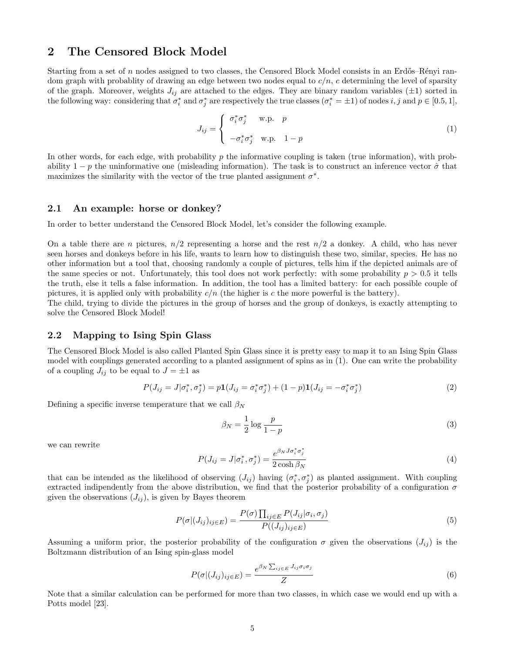### 2 The Censored Block Model

Starting from a set of  $n$  nodes assigned to two classes, the Censored Block Model consists in an Erdős–Rényi random graph with probablity of drawing an edge between two nodes equal to  $c/n$ , c determining the level of sparsity of the graph. Moreover, weights  $J_{ij}$  are attached to the edges. They are binary random variables ( $\pm 1$ ) sorted in the following way: considering that  $\sigma_i^*$  and  $\sigma_j^*$  are respectively the true classes  $(\sigma_i^* = \pm 1)$  of nodes i, j and  $p \in [0.5, 1]$ ,

$$
J_{ij} = \begin{cases} \sigma_i^* \sigma_j^* & \text{w.p.} \quad p \\ -\sigma_i^* \sigma_j^* & \text{w.p.} \quad 1 - p \end{cases}
$$
 (1)

In other words, for each edge, with probability p the informative coupling is taken (true information), with probability  $1 - p$  the uninformative one (misleading information). The task is to construct an inference vector  $\hat{\sigma}$  that maximizes the similarity with the vector of the true planted assignment  $\sigma^*$ .

#### 2.1 An example: horse or donkey?

In order to better understand the Censored Block Model, let's consider the following example.

On a table there are n pictures,  $n/2$  representing a horse and the rest  $n/2$  a donkey. A child, who has never seen horses and donkeys before in his life, wants to learn how to distinguish these two, similar, species. He has no other information but a tool that, choosing randomly a couple of pictures, tells him if the depicted animals are of the same species or not. Unfortunately, this tool does not work perfectly: with some probability  $p > 0.5$  it tells the truth, else it tells a false information. In addition, the tool has a limited battery: for each possible couple of pictures, it is applied only with probability  $c/n$  (the higher is c the more powerful is the battery).

The child, trying to divide the pictures in the group of horses and the group of donkeys, is exactly attempting to solve the Censored Block Model!

#### 2.2 Mapping to Ising Spin Glass

The Censored Block Model is also called Planted Spin Glass since it is pretty easy to map it to an Ising Spin Glass model with couplings generated according to a planted assignment of spins as in (1). One can write the probability of a coupling  $J_{ij}$  to be equal to  $J = \pm 1$  as

$$
P(J_{ij} = J | \sigma_i^*, \sigma_j^*) = p \mathbf{1}(J_{ij} = \sigma_i^* \sigma_j^*) + (1 - p) \mathbf{1}(J_{ij} = -\sigma_i^* \sigma_j^*)
$$
\n(2)

Defining a specific inverse temperature that we call  $\beta_N$ 

$$
\beta_N = \frac{1}{2} \log \frac{p}{1-p} \tag{3}
$$

we can rewrite

$$
P(J_{ij} = J | \sigma_i^*, \sigma_j^*) = \frac{e^{\beta_N J \sigma_i^* \sigma_j^*}}{2 \cosh \beta_N}
$$
\n<sup>(4)</sup>

that can be intended as the likelihood of observing  $(J_{ij})$  having  $(\sigma_i^*, \sigma_j^*)$  as planted assignment. With coupling extracted indipendently from the above distribution, we find that the posterior probability of a configuration  $\sigma$ given the observations  $(J_{ij})$ , is given by Bayes theorem

$$
P(\sigma|(J_{ij})_{ij\in E}) = \frac{P(\sigma)\prod_{ij\in E} P(J_{ij}|\sigma_i, \sigma_j)}{P((J_{ij})_{ij\in E})}
$$
\n
$$
(5)
$$

Assuming a uniform prior, the posterior probability of the configuration  $\sigma$  given the observations  $(J_{ij})$  is the Boltzmann distribution of an Ising spin-glass model

$$
P(\sigma|(J_{ij})_{ij\in E}) = \frac{e^{\beta_N \sum_{ij\in E} J_{ij}\sigma_i \sigma_j}}{Z}
$$
\n(6)

Note that a similar calculation can be performed for more than two classes, in which case we would end up with a Potts model [23].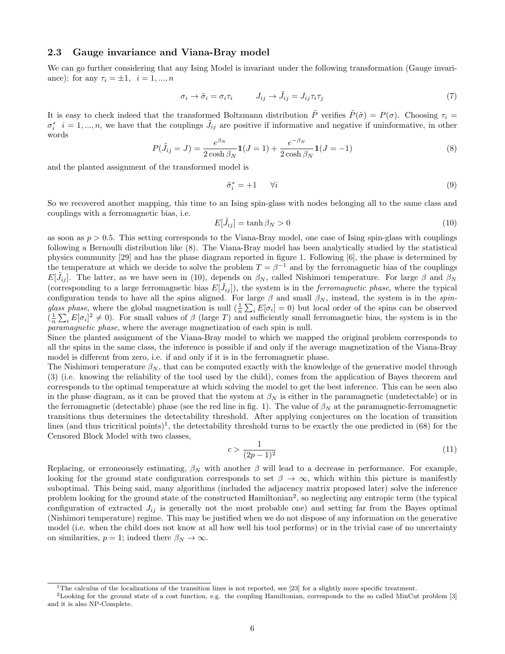#### 2.3 Gauge invariance and Viana-Bray model

We can go further considering that any Ising Model is invariant under the following transformation (Gauge invariance): for any  $\tau_i = \pm 1, i = 1, ..., n$ 

$$
\sigma_i \to \tilde{\sigma}_i = \sigma_i \tau_i \qquad J_{ij} \to \tilde{J}_{ij} = J_{ij} \tau_i \tau_j \tag{7}
$$

It is easy to check indeed that the transformed Boltzmann distribution  $\tilde{P}$  verifies  $\tilde{P}(\tilde{\sigma}) = P(\sigma)$ . Choosing  $\tau_i =$  $\sigma_i^*$   $i=1,...,n$ , we have that the couplings  $\tilde{J}_{ij}$  are positive if informative and negative if uninformative, in other words

$$
P(\tilde{J}_{ij} = J) = \frac{e^{\beta_N}}{2 \cosh \beta_N} \mathbf{1}(J = 1) + \frac{e^{-\beta_N}}{2 \cosh \beta_N} \mathbf{1}(J = -1)
$$
\n(8)

and the planted assignment of the transformed model is

$$
\tilde{\sigma}_i^* = +1 \qquad \forall i \tag{9}
$$

So we recovered another mapping, this time to an Ising spin-glass with nodes belonging all to the same class and couplings with a ferromagnetic bias, i.e.

$$
E[\tilde{J}_{ij}] = \tanh \beta_N > 0 \tag{10}
$$

as soon as  $p > 0.5$ . This setting corresponds to the Viana-Bray model, one case of Ising spin-glass with couplings following a Bernoulli distribution like (8). The Viana-Bray model has been analytically studied by the statistical physics community [29] and has the phase diagram reported in figure 1. Following [6], the phase is determined by the temperature at which we decide to solve the problem  $T = \beta^{-1}$  and by the ferromagnetic bias of the couplings  $E[\tilde{J}_{ij}]$ . The latter, as we have seen in (10), depends on  $\beta_N$ , called Nishimori temperature. For large  $\beta$  and  $\beta_N$ (corresponding to a large ferromagnetic bias  $E[\tilde{J}_{ij}]$ ), the system is in the *ferromagnetic phase*, where the typical configuration tends to have all the spins aligned. For large  $\beta$  and small  $\beta_N$ , instead, the system is in the spinglass phase, where the global magnetization is null  $(\frac{1}{n}\sum_{i}E[\sigma_i]=0)$  but local order of the spins can be observed  $(\frac{1}{n}\sum_i E[\sigma_i]^2 \neq 0)$ . For small values of  $\beta$  (large T) and sufficiently small ferromagnetic bias, the system is in the paramagnetic phase, where the average magnetization of each spin is null.

Since the planted assignment of the Viana-Bray model to which we mapped the original problem corresponds to all the spins in the same class, the inference is possible if and only if the average magnetization of the Viana-Bray model is different from zero, i.e. if and only if it is in the ferromagnetic phase.

The Nishimori temperature  $\beta_N$ , that can be computed exactly with the knowledge of the generative model through (3) (i.e. knowing the reliability of the tool used by the child), comes from the application of Bayes theorem and corresponds to the optimal temperature at which solving the model to get the best inference. This can be seen also in the phase diagram, as it can be proved that the system at  $\beta_N$  is either in the paramagnetic (undetectable) or in the ferromagnetic (detectable) phase (see the red line in fig. 1). The value of  $\beta_N$  at the paramagnetic-ferromagnetic transitions thus determines the detectability threshold. After applying conjectures on the location of transition lines (and thus tricritical points)<sup>1</sup>, the detectability threshold turns to be exactly the one predicted in  $(68)$  for the Censored Block Model with two classes,

$$
c > \frac{1}{(2p-1)^2} \tag{11}
$$

Replacing, or erroneousely estimating,  $\beta_N$  with another  $\beta$  will lead to a decrease in performance. For example, looking for the ground state configuration corresponds to set  $\beta \to \infty$ , which within this picture is manifestly suboptimal. This being said, many algorithms (included the adjacency matrix proposed later) solve the inference problem looking for the ground state of the constructed Hamiltonian<sup>2</sup>, so neglecting any entropic term (the typical configuration of extracted  $J_{ij}$  is generally not the most probable one) and setting far from the Bayes optimal (Nishimori temperature) regime. This may be justified when we do not dispose of any information on the generative model (i.e. when the child does not know at all how well his tool performs) or in the trivial case of no uncertainty on similarities,  $p = 1$ ; indeed there  $\beta_N \to \infty$ .

<sup>&</sup>lt;sup>1</sup>The calculus of the localizations of the transition lines is not reported, see [23] for a slightly more specific treatment.

<sup>2</sup>Looking for the ground state of a cost function, e.g. the coupling Hamiltonian, corresponds to the so called MinCut problem [3] and it is also NP-Complete.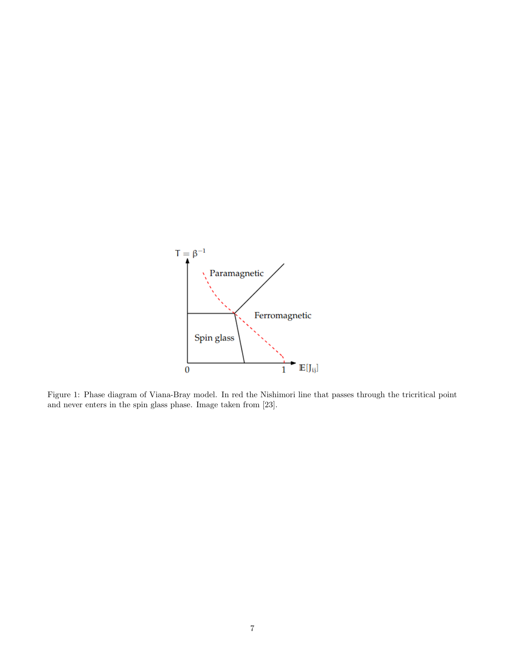

Figure 1: Phase diagram of Viana-Bray model. In red the Nishimori line that passes through the tricritical point and never enters in the spin glass phase. Image taken from [23].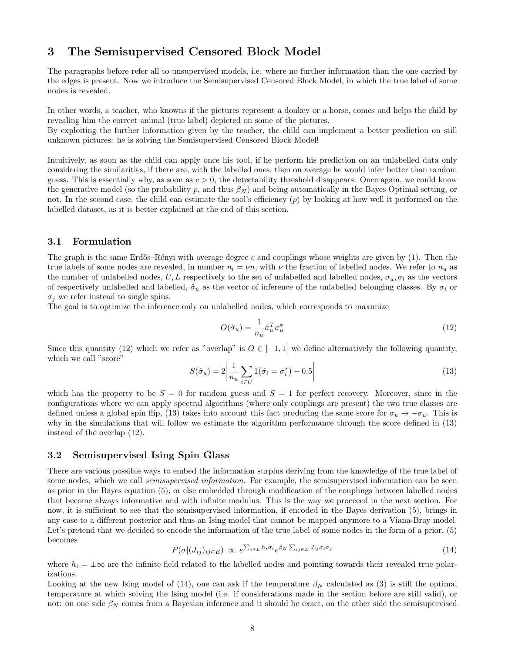# 3 The Semisupervised Censored Block Model

The paragraphs before refer all to unsupervised models, i.e. where no further information than the one carried by the edges is present. Now we introduce the Semisupervised Censored Block Model, in which the true label of some nodes is revealed.

In other words, a teacher, who knowns if the pictures represent a donkey or a horse, comes and helps the child by revealing him the correct animal (true label) depicted on some of the pictures.

By exploiting the further information given by the teacher, the child can implement a better prediction on still unknown pictures: he is solving the Semisupervised Censored Block Model!

Intuitively, as soon as the child can apply once his tool, if he perform his prediction on an unlabelled data only considering the similarities, if there are, with the labelled ones, then on average he would infer better than random guess. This is essentially why, as soon as  $c > 0$ , the detectability threshold disappears. Once again, we could know the generative model (so the probability p, and thus  $\beta_N$ ) and being automatically in the Bayes Optimal setting, or not. In the second case, the child can estimate the tool's efficiency  $(p)$  by looking at how well it performed on the labelled dataset, as it is better explained at the end of this section.

#### 3.1 Formulation

The graph is the same Erdős–Rényi with average degree c and couplings whose weights are given by  $(1)$ . Then the true labels of some nodes are revealed, in number  $n_l = \nu n$ , with  $\nu$  the fraction of labelled nodes. We refer to  $n_u$  as the number of unlabelled nodes, U, L respectively to the set of unlabelled and labelled nodes,  $\sigma_u, \sigma_l$  as the vectors of respectively unlabelled and labelled,  $\hat{\sigma}_u$  as the vector of inference of the unlabelled belonging classes. By  $\sigma_i$  or  $\sigma_i$  we refer instead to single spins.

The goal is to optimize the inference only on unlabelled nodes, which corresponds to maximize

$$
O(\hat{\sigma}_u) = \frac{1}{n_u} \hat{\sigma}_u^T \sigma_u^* \tag{12}
$$

Since this quantity (12) which we refer as "overlap" is  $O \in [-1,1]$  we define alternatively the following quantity, which we call "score"

$$
S(\hat{\sigma}_u) = 2 \left| \frac{1}{n_u} \sum_{i \in U} 1(\hat{\sigma}_i = \sigma_i^*) - 0.5 \right| \tag{13}
$$

which has the property to be  $S = 0$  for random guess and  $S = 1$  for perfect recovery. Moreover, since in the configurations where we can apply spectral algorithms (where only couplings are present) the two true classes are defined unless a global spin flip, (13) takes into account this fact producing the same score for  $\sigma_u \to -\sigma_u$ . This is why in the simulations that will follow we estimate the algorithm performance through the score defined in (13) instead of the overlap (12).

#### 3.2 Semisupervised Ising Spin Glass

There are various possible ways to embed the information surplus deriving from the knowledge of the true label of some nodes, which we call *semisupervised information*. For example, the semisupervised information can be seen as prior in the Bayes equation (5), or else embedded through modification of the couplings between labelled nodes that become always informative and with infinite modulus. This is the way we procceed in the next section. For now, it is sufficient to see that the semisupervised information, if encoded in the Bayes derivation (5), brings in any case to a different posterior and thus an Ising model that cannot be mapped anymore to a Viana-Bray model. Let's pretend that we decided to encode the information of the true label of some nodes in the form of a prior,  $(5)$ becomes

$$
P(\sigma|(J_{ij})_{ij\in E}) \propto e^{\sum_{i\in L} h_i \sigma_i} e^{\beta_N \sum_{ij\in E} J_{ij} \sigma_i \sigma_j}
$$
\n(14)

where  $h_i = \pm \infty$  are the infinite field related to the labelled nodes and pointing towards their revealed true polarizations.

Looking at the new Ising model of (14), one can ask if the temperature  $\beta_N$  calculated as (3) is still the optimal temperature at which solving the Ising model (i.e. if considerations made in the section before are still valid), or not: on one side  $\beta_N$  comes from a Bayesian inference and it should be exact, on the other side the semisupervised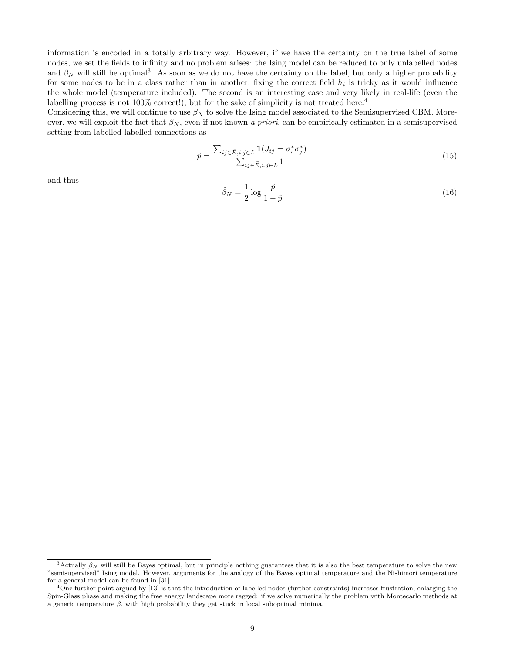information is encoded in a totally arbitrary way. However, if we have the certainty on the true label of some nodes, we set the fields to infinity and no problem arises: the Ising model can be reduced to only unlabelled nodes and  $\beta_N$  will still be optimal<sup>3</sup>. As soon as we do not have the certainty on the label, but only a higher probability for some nodes to be in a class rather than in another, fixing the correct field  $h_i$  is tricky as it would influence the whole model (temperature included). The second is an interesting case and very likely in real-life (even the labelling process is not 100% correct!), but for the sake of simplicity is not treated here.<sup>4</sup>

Considering this, we will continue to use  $\beta_N$  to solve the Ising model associated to the Semisupervised CBM. Moreover, we will exploit the fact that  $\beta_N$ , even if not known a priori, can be empirically estimated in a semisupervised setting from labelled-labelled connections as

$$
\hat{p} = \frac{\sum_{ij \in \vec{E}, i, j \in L} \mathbf{1}(J_{ij} = \sigma_i^* \sigma_j^*)}{\sum_{ij \in \vec{E}, i, j \in L} 1}
$$
\n(15)

and thus

$$
\hat{\beta}_N = \frac{1}{2} \log \frac{\hat{p}}{1 - \hat{p}} \tag{16}
$$

<sup>&</sup>lt;sup>3</sup>Actually  $\beta_N$  will still be Bayes optimal, but in principle nothing guarantees that it is also the best temperature to solve the new "semisupervised" Ising model. However, arguments for the analogy of the Bayes optimal temperature and the Nishimori temperature for a general model can be found in [31].

 $^{4}$ One further point argued by [13] is that the introduction of labelled nodes (further constraints) increases frustration, enlarging the Spin-Glass phase and making the free energy landscape more ragged: if we solve numerically the problem with Montecarlo methods at a generic temperature  $\beta$ , with high probability they get stuck in local suboptimal minima.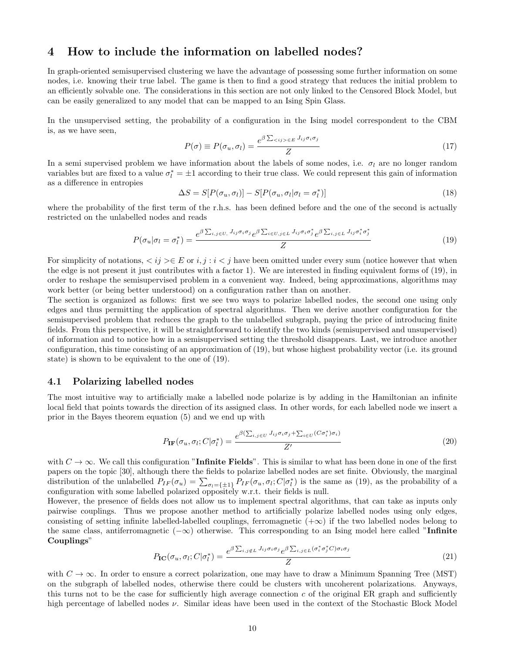## 4 How to include the information on labelled nodes?

In graph-oriented semisupervised clustering we have the advantage of possessing some further information on some nodes, i.e. knowing their true label. The game is then to find a good strategy that reduces the initial problem to an efficiently solvable one. The considerations in this section are not only linked to the Censored Block Model, but can be easily generalized to any model that can be mapped to an Ising Spin Glass.

In the unsupervised setting, the probability of a configuration in the Ising model correspondent to the CBM is, as we have seen,

$$
P(\sigma) \equiv P(\sigma_u, \sigma_l) = \frac{e^{\beta \sum_{\langle i j \rangle \in E} J_{ij} \sigma_i \sigma_j}}{Z}
$$
\n(17)

In a semi supervised problem we have information about the labels of some nodes, i.e.  $\sigma_l$  are no longer random variables but are fixed to a value  $\sigma_l^* = \pm 1$  according to their true class. We could represent this gain of information as a difference in entropies

$$
\Delta S = S[P(\sigma_u, \sigma_l)] - S[P(\sigma_u, \sigma_l | \sigma_l = \sigma_l^*)]
$$
\n(18)

where the probability of the first term of the r.h.s. has been defined before and the one of the second is actually restricted on the unlabelled nodes and reads

$$
P(\sigma_u|\sigma_l = \sigma_l^*) = \frac{e^{\beta \sum_{i,j \in U,} J_{ij}\sigma_i \sigma_j} e^{\beta \sum_{i \in U, j \in L} J_{ij}\sigma_i \sigma_j^*} e^{\beta \sum_{i,j \in L} J_{ij}\sigma_i^* \sigma_j^*}}{Z}
$$
(19)

For simplicity of notations,  $\langle i j \rangle \in E$  or  $i, j : i < j$  have been omitted under every sum (notice however that when the edge is not present it just contributes with a factor 1). We are interested in finding equivalent forms of (19), in order to reshape the semisupervised problem in a convenient way. Indeed, being approximations, algorithms may work better (or being better understood) on a configuration rather than on another.

The section is organized as follows: first we see two ways to polarize labelled nodes, the second one using only edges and thus permitting the application of spectral algorithms. Then we derive another configuration for the semisupervised problem that reduces the graph to the unlabelled subgraph, paying the price of introducing finite fields. From this perspective, it will be straightforward to identify the two kinds (semisupervised and unsupervised) of information and to notice how in a semisupervised setting the threshold disappears. Last, we introduce another configuration, this time consisting of an approximation of (19), but whose highest probability vector (i.e. its ground state) is shown to be equivalent to the one of (19).

#### 4.1 Polarizing labelled nodes

The most intuitive way to artificially make a labelled node polarize is by adding in the Hamiltonian an infinite local field that points towards the direction of its assigned class. In other words, for each labelled node we insert a prior in the Bayes theorem equation (5) and we end up with

$$
P_{\text{IF}}(\sigma_u, \sigma_l; C | \sigma_l^*) = \frac{e^{\beta(\sum_{i,j \in U} J_{ij} \sigma_i \sigma_j + \sum_{i \in U} (C \sigma_i^*) \sigma_i)}}{Z'}
$$
(20)

with  $C \to \infty$ . We call this configuration "Infinite Fields". This is similar to what has been done in one of the first papers on the topic [30], although there the fields to polarize labelled nodes are set finite. Obviously, the marginal distribution of the unlabelled  $P_{IF}(\sigma_u) = \sum_{\sigma_l = \{\pm 1\}} P_{IF}(\sigma_u, \sigma_l; C | \sigma_l^*)$  is the same as (19), as the probability of a configuration with some labelled polarized oppositely w.r.t. their fields is null.

However, the presence of fields does not allow us to implement spectral algorithms, that can take as inputs only pairwise couplings. Thus we propose another method to artificially polarize labelled nodes using only edges, consisting of setting infinite labelled-labelled couplings, ferromagnetic  $(+\infty)$  if the two labelled nodes belong to the same class, antiferromagnetic  $(-\infty)$  otherwise. This corresponding to an Ising model here called "Infinite Couplings"

$$
P_{\text{IC}}(\sigma_u, \sigma_l; C | \sigma_l^*) = \frac{e^{\beta \sum_{i,j \notin L} J_{ij} \sigma_i \sigma_j} e^{\beta \sum_{i,j \in L} (\sigma_i^* \sigma_j^* C) \sigma_i \sigma_j}}{Z}
$$
(21)

with  $C \to \infty$ . In order to ensure a correct polarization, one may have to draw a Minimum Spanning Tree (MST) on the subgraph of labelled nodes, otherwise there could be clusters with uncoherent polarizations. Anyways, this turns not to be the case for sufficiently high average connection  $c$  of the original ER graph and sufficiently high percentage of labelled nodes ν. Similar ideas have been used in the context of the Stochastic Block Model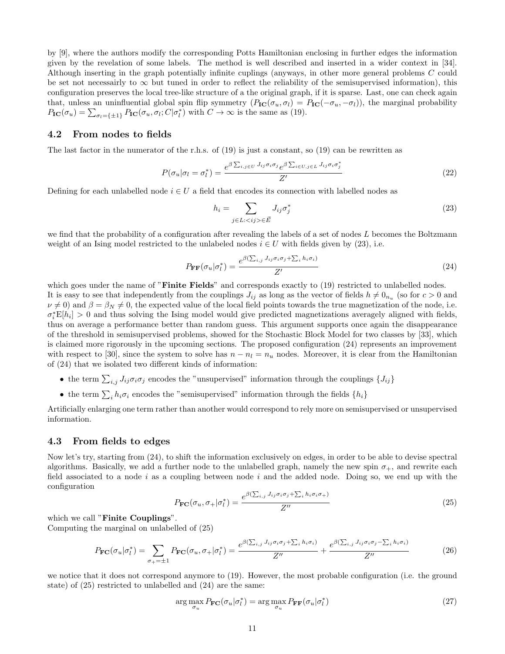by [9], where the authors modify the corresponding Potts Hamiltonian enclosing in further edges the information given by the revelation of some labels. The method is well described and inserted in a wider context in [34]. Although inserting in the graph potentially infinite cuplings (anyways, in other more general problems C could be set not necessairly to  $\infty$  but tuned in order to reflect the reliability of the semisupervised information), this configuration preserves the local tree-like structure of a the original graph, if it is sparse. Last, one can check again that, unless an uninfluential global spin flip symmetry  $(P_{\text{IC}}(\sigma_u, \sigma_l) = P_{\text{IC}}(-\sigma_u, -\sigma_l))$ , the marginal probability  $P_{\text{IC}}(\sigma_u) = \sum_{\sigma_l = \{\pm 1\}} P_{\text{IC}}(\sigma_u, \sigma_l; C | \sigma_l^*)$  with  $C \to \infty$  is the same as (19).

#### 4.2 From nodes to fields

The last factor in the numerator of the r.h.s. of  $(19)$  is just a constant, so  $(19)$  can be rewritten as

$$
P(\sigma_u|\sigma_l = \sigma_l^*) = \frac{e^{\beta \sum_{i,j \in U} J_{ij}\sigma_i \sigma_j} e^{\beta \sum_{i \in U, j \in L} J_{ij}\sigma_i \sigma_j^*}}{Z'}
$$
(22)

Defining for each unlabelled node  $i \in U$  a field that encodes its connection with labelled nodes as

$$
h_i = \sum_{j \in L: \langle ij \rangle \in \vec{E}} J_{ij} \sigma_j^* \tag{23}
$$

we find that the probability of a configuration after revealing the labels of a set of nodes L becomes the Boltzmann weight of an Ising model restricted to the unlabeled nodes  $i \in U$  with fields given by (23), i.e.

$$
P_{\mathbf{FF}}(\sigma_u|\sigma_l^*) = \frac{e^{\beta(\sum_{i,j} J_{ij}\sigma_i\sigma_j + \sum_i h_i\sigma_i)}}{Z'} \tag{24}
$$

which goes under the name of "**Finite Fields**" and corresponds exactly to (19) restricted to unlabelled nodes. It is easy to see that independently from the couplings  $J_{ij}$  as long as the vector of fields  $h \neq 0_{n_u}$  (so for  $c > 0$  and  $\nu \neq 0$ ) and  $\beta = \beta_N \neq 0$ , the expected value of the local field points towards the true magnetization of the node, i.e.  $\sigma_i^* E[h_i] > 0$  and thus solving the Ising model would give predicted magnetizations averagely aligned with fields, thus on average a performance better than random guess. This argument supports once again the disappearance of the threshold in semisupervised problems, showed for the Stochastic Block Model for two classes by [33], which is claimed more rigorously in the upcoming sections. The proposed configuration (24) represents an improvement with respect to [30], since the system to solve has  $n - n_l = n_u$  nodes. Moreover, it is clear from the Hamiltonian of (24) that we isolated two different kinds of information:

- the term  $\sum_{i,j} J_{ij} \sigma_i \sigma_j$  encodes the "unsupervised" information through the couplings  $\{J_{ij}\}$
- the term  $\sum_i h_i \sigma_i$  encodes the "semisupervised" information through the fields  $\{h_i\}$

Artificially enlarging one term rather than another would correspond to rely more on semisupervised or unsupervised information.

#### 4.3 From fields to edges

Now let's try, starting from (24), to shift the information exclusively on edges, in order to be able to devise spectral algorithms. Basically, we add a further node to the unlabelled graph, namely the new spin  $\sigma_{+}$ , and rewrite each field associated to a node  $i$  as a coupling between node  $i$  and the added node. Doing so, we end up with the configuration

$$
P_{\mathbf{FC}}(\sigma_u, \sigma_+|\sigma_l^*) = \frac{e^{\beta(\sum_{i,j} J_{ij}\sigma_i \sigma_j + \sum_i h_i \sigma_i \sigma_+)} }{Z''}
$$
(25)

which we call "**Finite Couplings**".

Computing the marginal on unlabelled of (25)

$$
P_{\mathbf{FC}}(\sigma_u|\sigma_l^*) = \sum_{\sigma_+ = \pm 1} P_{\mathbf{FC}}(\sigma_u, \sigma_+|\sigma_l^*) = \frac{e^{\beta(\sum_{i,j} J_{ij}\sigma_i\sigma_j + \sum_i h_i \sigma_i)}}{Z''} + \frac{e^{\beta(\sum_{i,j} J_{ij}\sigma_i\sigma_j - \sum_i h_i \sigma_i)}}{Z''}
$$
(26)

we notice that it does not correspond anymore to (19). However, the most probable configuration (i.e. the ground state) of (25) restricted to unlabelled and (24) are the same:

$$
\arg\max_{\sigma_u} P_{\mathbf{FC}}(\sigma_u|\sigma_l^*) = \arg\max_{\sigma_u} P_{\mathbf{FF}}(\sigma_u|\sigma_l^*)
$$
\n(27)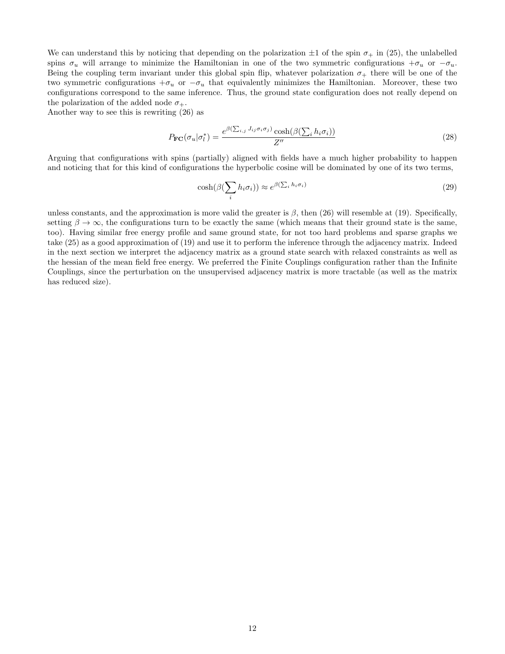We can understand this by noticing that depending on the polarization  $\pm 1$  of the spin  $\sigma_+$  in (25), the unlabelled spins  $\sigma_u$  will arrange to minimize the Hamiltonian in one of the two symmetric configurations  $+\sigma_u$  or  $-\sigma_u$ . Being the coupling term invariant under this global spin flip, whatever polarization  $\sigma_+$  there will be one of the two symmetric configurations  $+\sigma_u$  or  $-\sigma_u$  that equivalently minimizes the Hamiltonian. Moreover, these two configurations correspond to the same inference. Thus, the ground state configuration does not really depend on the polarization of the added node  $\sigma_{+}$ .

Another way to see this is rewriting (26) as

$$
P_{\mathbf{FC}}(\sigma_u|\sigma_l^*) = \frac{e^{\beta(\sum_{i,j} J_{ij}\sigma_i\sigma_j)} \cosh(\beta(\sum_i h_i\sigma_i))}{Z''}
$$
(28)

Arguing that configurations with spins (partially) aligned with fields have a much higher probability to happen and noticing that for this kind of configurations the hyperbolic cosine will be dominated by one of its two terms,

$$
\cosh(\beta(\sum_{i} h_i \sigma_i)) \approx e^{\beta(\sum_{i} h_i \sigma_i)} \tag{29}
$$

unless constants, and the approximation is more valid the greater is  $\beta$ , then (26) will resemble at (19). Specifically, setting  $\beta \to \infty$ , the configurations turn to be exactly the same (which means that their ground state is the same, too). Having similar free energy profile and same ground state, for not too hard problems and sparse graphs we take (25) as a good approximation of (19) and use it to perform the inference through the adjacency matrix. Indeed in the next section we interpret the adjacency matrix as a ground state search with relaxed constraints as well as the hessian of the mean field free energy. We preferred the Finite Couplings configuration rather than the Infinite Couplings, since the perturbation on the unsupervised adjacency matrix is more tractable (as well as the matrix has reduced size).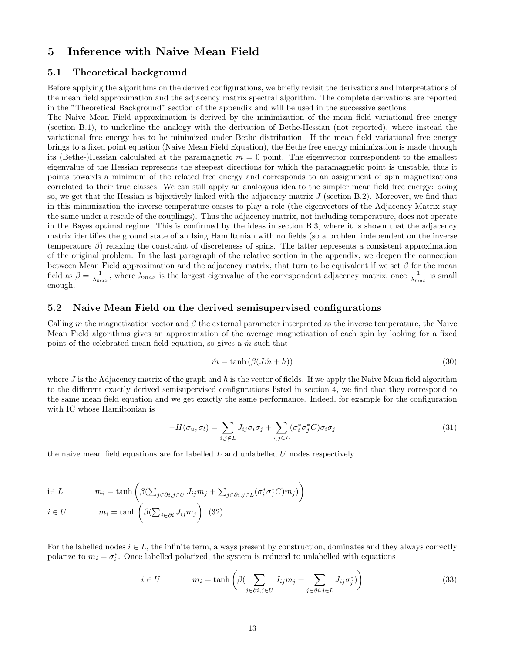### 5 Inference with Naive Mean Field

#### 5.1 Theoretical background

Before applying the algorithms on the derived configurations, we briefly revisit the derivations and interpretations of the mean field approximation and the adjacency matrix spectral algorithm. The complete derivations are reported in the "Theoretical Background" section of the appendix and will be used in the successive sections.

The Naive Mean Field approximation is derived by the minimization of the mean field variational free energy (section B.1), to underline the analogy with the derivation of Bethe-Hessian (not reported), where instead the variational free energy has to be minimized under Bethe distribution. If the mean field variational free energy brings to a fixed point equation (Naive Mean Field Equation), the Bethe free energy minimization is made through its (Bethe-)Hessian calculated at the paramagnetic  $m = 0$  point. The eigenvector correspondent to the smallest eigenvalue of the Hessian represents the steepest directions for which the paramagnetic point is unstable, thus it points towards a minimum of the related free energy and corresponds to an assignment of spin magnetizations correlated to their true classes. We can still apply an analogous idea to the simpler mean field free energy: doing so, we get that the Hessian is bijectively linked with the adjacency matrix  $J$  (section B.2). Moreover, we find that in this minimization the inverse temperature ceases to play a role (the eigenvectors of the Adjacency Matrix stay the same under a rescale of the couplings). Thus the adjacency matrix, not including temperature, does not operate in the Bayes optimal regime. This is confirmed by the ideas in section B.3, where it is shown that the adjacency matrix identifies the ground state of an Ising Hamiltonian with no fields (so a problem independent on the inverse temperature  $\beta$ ) relaxing the constraint of discreteness of spins. The latter represents a consistent approximation of the original problem. In the last paragraph of the relative section in the appendix, we deepen the connection between Mean Field approximation and the adjacency matrix, that turn to be equivalent if we set  $\beta$  for the mean field as  $\beta = \frac{1}{\lambda_{max}}$ , where  $\lambda_{max}$  is the largest eigenvalue of the correspondent adjacency matrix, once  $\frac{1}{\lambda_{max}}$  is small enough.

#### 5.2 Naive Mean Field on the derived semisupervised configurations

Calling m the magnetization vector and  $\beta$  the external parameter interpreted as the inverse temperature, the Naive Mean Field algorithms gives an approximation of the average magnetization of each spin by looking for a fixed point of the celebrated mean field equation, so gives a  $\hat{m}$  such that

$$
\hat{m} = \tanh\left(\beta(J\hat{m} + h)\right) \tag{30}
$$

where  $J$  is the Adjacency matrix of the graph and h is the vector of fields. If we apply the Naive Mean field algorithm to the different exactly derived semisupervised configurations listed in section 4, we find that they correspond to the same mean field equation and we get exactly the same performance. Indeed, for example for the configuration with IC whose Hamiltonian is

$$
-H(\sigma_u, \sigma_l) = \sum_{i,j \notin L} J_{ij} \sigma_i \sigma_j + \sum_{i,j \in L} (\sigma_i^* \sigma_j^* C) \sigma_i \sigma_j \tag{31}
$$

the naive mean field equations are for labelled  $L$  and unlabelled  $U$  nodes respectively

$$
\begin{aligned}\n\text{i} \in L & m_i = \tanh\left(\beta \left(\sum_{j \in \partial i, j \in U} J_{ij} m_j + \sum_{j \in \partial i, j \in L} (\sigma_i^* \sigma_j^* C) m_j\right)\right) \\
\text{ii} \quad & \text{ii} \quad \text{iii} \quad \text{iv} \quad \text{iv} \quad \text{iv} \quad \text{iv} \quad \text{iv} \quad \text{iv} \quad \text{iv} \quad \text{iv} \quad \text{iv} \quad \text{iv} \quad \text{iv} \quad \text{iv} \quad \text{iv} \quad \text{iv} \quad \text{iv} \quad \text{v} \quad \text{iv} \quad \text{iv} \quad \text{v} \quad \text{iv} \quad \text{v} \quad \text{iv} \quad \text{v} \quad \text{iv} \quad \text{v} \quad \text{iv} \quad \text{v} \quad \text{iv} \quad \text{v} \quad \text{v} \quad \text{v} \quad \text{v} \quad \text{v} \quad \text{v} \quad \text{v} \quad \text{v} \quad \text{v} \quad \text{v} \quad \text{v} \quad \text{v} \quad \text{v} \quad \text{v} \quad \text{v} \quad \text{v} \quad \text{v} \quad \text{v} \quad \text{v} \quad \text{v} \quad \text{v} \quad \text{v} \quad \text{v} \quad \text{v} \quad \text{v} \quad \text{v} \quad \text{v} \quad \text{v} \quad \text{v} \quad \text{v} \quad \text{v} \quad \text{v} \quad \text{v} \quad \text{v} \quad \text{v} \quad \text{v} \quad \text{v} \quad \text{v} \quad \text{v} \quad \text{v} \quad \text{v} \quad \text{v} \quad \text{v} \quad \text{v} \quad \text{v} \quad \text{v} \quad \text{v} \quad \text{v} \quad \text{v} \quad \text{v} \quad \text{v} \quad \text{v} \quad \text{v} \quad \text{v} \quad \text{v} \quad \text{v} \quad \text{v} \quad \text{v} \quad \text{v} \quad \text{v} \quad \text{v} \quad \text{v} \quad \text{v} \quad \text{v} \quad \text{v} \quad
$$

$$
i \in U \qquad m_i = \tanh\left(\beta(\sum_{j \in \partial i} J_{ij} m_j)\right)
$$
 (32)

For the labelled nodes  $i \in L$ , the infinite term, always present by construction, dominates and they always correctly polarize to  $m_i = \sigma_i^*$ . Once labelled polarized, the system is reduced to unlabelled with equations

$$
i \in U \qquad m_i = \tanh\left(\beta \left(\sum_{j \in \partial i, j \in U} J_{ij} m_j + \sum_{j \in \partial i, j \in L} J_{ij} \sigma_j^*\right)\right) \tag{33}
$$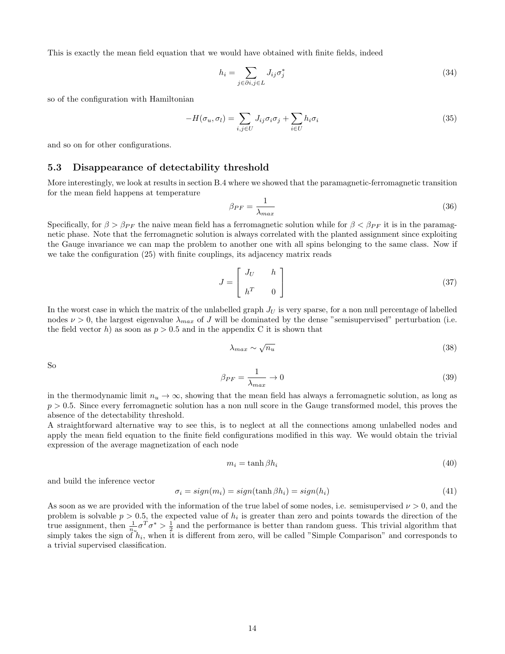This is exactly the mean field equation that we would have obtained with finite fields, indeed

$$
h_i = \sum_{j \in \partial i, j \in L} J_{ij} \sigma_j^* \tag{34}
$$

so of the configuration with Hamiltonian

$$
-H(\sigma_u, \sigma_l) = \sum_{i,j \in U} J_{ij} \sigma_i \sigma_j + \sum_{i \in U} h_i \sigma_i \tag{35}
$$

and so on for other configurations.

#### 5.3 Disappearance of detectability threshold

More interestingly, we look at results in section B.4 where we showed that the paramagnetic-ferromagnetic transition for the mean field happens at temperature

$$
\beta_{PF} = \frac{1}{\lambda_{max}}\tag{36}
$$

Specifically, for  $\beta > \beta_{PF}$  the naive mean field has a ferromagnetic solution while for  $\beta < \beta_{PF}$  it is in the paramagnetic phase. Note that the ferromagnetic solution is always correlated with the planted assignment since exploiting the Gauge invariance we can map the problem to another one with all spins belonging to the same class. Now if we take the configuration (25) with finite couplings, its adjacency matrix reads

$$
J = \begin{bmatrix} J_U & h \\ h^T & 0 \end{bmatrix} \tag{37}
$$

In the worst case in which the matrix of the unlabelled graph  $J_U$  is very sparse, for a non null percentage of labelled nodes  $\nu > 0$ , the largest eigenvalue  $\lambda_{max}$  of J will be dominated by the dense "semisupervised" perturbation (i.e. the field vector h) as soon as  $p > 0.5$  and in the appendix C it is shown that

$$
\lambda_{max} \sim \sqrt{n_u} \tag{38}
$$

So

$$
\beta_{PF} = \frac{1}{\lambda_{max}} \to 0 \tag{39}
$$

in the thermodynamic limit  $n_u \to \infty$ , showing that the mean field has always a ferromagnetic solution, as long as  $p > 0.5$ . Since every ferromagnetic solution has a non null score in the Gauge transformed model, this proves the absence of the detectability threshold.

A straightforward alternative way to see this, is to neglect at all the connections among unlabelled nodes and apply the mean field equation to the finite field configurations modified in this way. We would obtain the trivial expression of the average magnetization of each node

$$
m_i = \tanh \beta h_i \tag{40}
$$

and build the inference vector

$$
\sigma_i = sign(m_i) = sign(\tanh \beta h_i) = sign(h_i) \tag{41}
$$

As soon as we are provided with the information of the true label of some nodes, i.e. semisupervised  $\nu > 0$ , and the problem is solvable  $p > 0.5$ , the expected value of  $h_i$  is greater than zero and points towards the direction of the true assignment, then  $\frac{1}{n_u}\sigma^T\sigma^* > \frac{1}{2}$  and the performance is better than random guess. This trivial algorithm that simply takes the sign of  $h_i$ , when it is different from zero, will be called "Simple Comparison" and corresponds to a trivial supervised classification.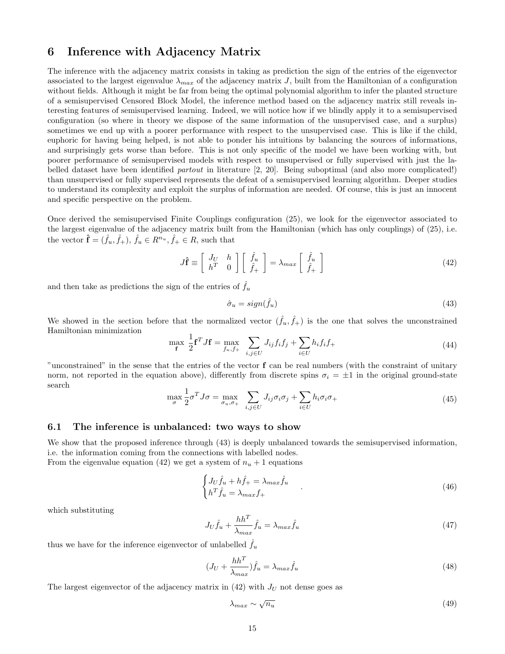# 6 Inference with Adjacency Matrix

The inference with the adjacency matrix consists in taking as prediction the sign of the entries of the eigenvector associated to the largest eigenvalue  $\lambda_{max}$  of the adjacency matrix J, built from the Hamiltonian of a configuration without fields. Although it might be far from being the optimal polynomial algorithm to infer the planted structure of a semisupervised Censored Block Model, the inference method based on the adjacency matrix still reveals interesting features of semisupervised learning. Indeed, we will notice how if we blindly apply it to a semisupervised configuration (so where in theory we dispose of the same information of the unsupervised case, and a surplus) sometimes we end up with a poorer performance with respect to the unsupervised case. This is like if the child, euphoric for having being helped, is not able to ponder his intuitions by balancing the sources of informations, and surprisingly gets worse than before. This is not only specific of the model we have been working with, but poorer performance of semisupervised models with respect to unsupervised or fully supervised with just the labelled dataset have been identified partout in literature [2, 20]. Being suboptimal (and also more complicated!) than unsupervised or fully supervised represents the defeat of a semisupervised learning algorithm. Deeper studies to understand its complexity and exploit the surplus of information are needed. Of course, this is just an innocent and specific perspective on the problem.

Once derived the semisupervised Finite Couplings configuration (25), we look for the eigenvector associated to the largest eigenvalue of the adjacency matrix built from the Hamiltonian (which has only couplings) of (25), i.e. the vector  $\hat{\mathbf{f}} = (\hat{f}_u, \hat{f}_+), \hat{f}_u \in R^{n_u}, \hat{f}_+ \in R$ , such that

$$
J\hat{\mathbf{f}} \equiv \begin{bmatrix} J_U & h \\ h^T & 0 \end{bmatrix} \begin{bmatrix} \hat{f}_u \\ \hat{f}_+ \end{bmatrix} = \lambda_{max} \begin{bmatrix} \hat{f}_u \\ \hat{f}_+ \end{bmatrix}
$$
(42)

and then take as predictions the sign of the entries of  $\hat{f}_u$ 

$$
\hat{\sigma}_u = sign(\hat{f}_u) \tag{43}
$$

We showed in the section before that the normalized vector  $(\hat{f}_u, \hat{f}_+)$  is the one that solves the unconstrained Hamiltonian minimization

$$
\max_{\mathbf{f}} \ \frac{1}{2} \mathbf{f}^T J \mathbf{f} = \max_{f_u, f_+} \ \sum_{i,j \in U} J_{ij} f_i f_j + \sum_{i \in U} h_i f_i f_+ \tag{44}
$$

"unconstrained" in the sense that the entries of the vector f can be real numbers (with the constraint of unitary norm, not reported in the equation above), differently from discrete spins  $\sigma_i = \pm 1$  in the original ground-state search

$$
\max_{\sigma} \frac{1}{2} \sigma^T J \sigma = \max_{\sigma_u, \sigma_+} \sum_{i,j \in U} J_{ij} \sigma_i \sigma_j + \sum_{i \in U} h_i \sigma_i \sigma_+ \tag{45}
$$

#### 6.1 The inference is unbalanced: two ways to show

We show that the proposed inference through  $(43)$  is deeply unbalanced towards the semisupervised information, i.e. the information coming from the connections with labelled nodes.

From the eigenvalue equation (42) we get a system of  $n_u + 1$  equations

$$
\begin{cases}\nJ_U \hat{f}_u + h \hat{f}_+ = \lambda_{max} \hat{f}_u \\
h^T \hat{f}_u = \lambda_{max} f_+\n\end{cases} \tag{46}
$$

which substituting

$$
J_U \hat{f}_u + \frac{hh^T}{\lambda_{max}} \hat{f}_u = \lambda_{max} \hat{f}_u \tag{47}
$$

thus we have for the inference eigenvector of unlabelled  $\hat{f}_u$ 

$$
(J_U + \frac{hh^T}{\lambda_{max}})\hat{f}_u = \lambda_{max}\hat{f}_u
$$
\n(48)

The largest eigenvector of the adjacency matrix in  $(42)$  with  $J_U$  not dense goes as

$$
\lambda_{max} \sim \sqrt{n_u} \tag{49}
$$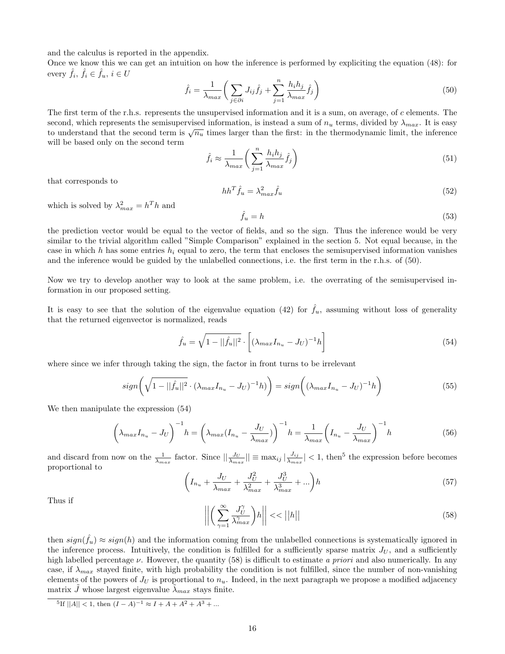and the calculus is reported in the appendix.

Once we know this we can get an intuition on how the inference is performed by expliciting the equation (48): for every  $\hat{f}_i, \, \hat{f}_i \in \hat{f}_u, \, i \in U$ 

$$
\hat{f}_i = \frac{1}{\lambda_{max}} \bigg( \sum_{j \in \partial i} J_{ij} \hat{f}_j + \sum_{j=1}^n \frac{h_i h_j}{\lambda_{max}} \hat{f}_j \bigg) \tag{50}
$$

The first term of the r.h.s. represents the unsupervised information and it is a sum, on average, of c elements. The second, which represents the semisupervised information, is instead a sum of  $n_u$  terms, divided by  $\lambda_{max}$ . It is easy to understand that the second term is  $\sqrt{n_u}$  times larger than the first: in the thermodynamic limit, the inference will be based only on the second term

$$
\hat{f}_i \approx \frac{1}{\lambda_{max}} \left( \sum_{j=1}^n \frac{h_i h_j}{\lambda_{max}} \hat{f}_j \right) \tag{51}
$$

that corresponds to

$$
hh^T \hat{f}_u = \lambda_{max}^2 \hat{f}_u \tag{52}
$$

which is solved by  $\lambda_{max}^2 = h^T h$  and

$$
\hat{f}_u = h \tag{53}
$$

the prediction vector would be equal to the vector of fields, and so the sign. Thus the inference would be very similar to the trivial algorithm called "Simple Comparison" explained in the section 5. Not equal because, in the case in which h has some entries  $h_i$  equal to zero, the term that encloses the semisupervised information vanishes and the inference would be guided by the unlabelled connections, i.e. the first term in the r.h.s. of (50).

Now we try to develop another way to look at the same problem, i.e. the overrating of the semisupervised information in our proposed setting.

It is easy to see that the solution of the eigenvalue equation (42) for  $\hat{f}_u$ , assuming without loss of generality that the returned eigenvector is normalized, reads

$$
\hat{f}_u = \sqrt{1 - ||\hat{f}_u||^2} \cdot \left[ (\lambda_{max} I_{n_u} - J_U)^{-1} h \right]
$$
\n(54)

where since we infer through taking the sign, the factor in front turns to be irrelevant

$$
sign\left(\sqrt{1-||\hat{f}_u||^2}\cdot(\lambda_{max}I_{n_u}-J_U)^{-1}h)\right)=sign\left((\lambda_{max}I_{n_u}-J_U)^{-1}h\right)
$$
\n(55)

We then manipulate the expression (54)

$$
\left(\lambda_{max}I_{n_u} - J_U\right)^{-1} h = \left(\lambda_{max}(I_{n_u} - \frac{J_U}{\lambda_{max}})\right)^{-1} h = \frac{1}{\lambda_{max}} \left(I_{n_u} - \frac{J_U}{\lambda_{max}}\right)^{-1} h \tag{56}
$$

and discard from now on the  $\frac{1}{\lambda_{max}}$  factor. Since  $\left|\left|\frac{J_{U}}{\lambda_{max}}\right|\right| \equiv \max_{ij} |\frac{J_{ij}}{\lambda_{max}}|$  $\frac{J_{ij}}{\lambda_{max}}$  < 1, then<sup>5</sup> the expression before becomes proportional to

$$
\left(I_{n_u} + \frac{J_U}{\lambda_{max}} + \frac{J_U^2}{\lambda_{max}^2} + \frac{J_U^3}{\lambda_{max}^3} + \ldots\right)h\tag{57}
$$

Thus if

$$
\left| \left| \left( \sum_{\gamma=1}^{\infty} \frac{J_U^{\gamma}}{\lambda_{max}^{\gamma}} \right) h \right| \right| < \left| |h| \right| \tag{58}
$$

then  $sign(\hat{f}_u) \approx sign(h)$  and the information coming from the unlabelled connections is systematically ignored in the inference process. Intuitively, the condition is fulfilled for a sufficiently sparse matrix  $J_U$ , and a sufficiently high labelled percentage  $\nu$ . However, the quantity (58) is difficult to estimate a priori and also numerically. In any case, if  $\lambda_{max}$  stayed finite, with high probability the condition is not fulfilled, since the number of non-vanishing elements of the powers of  $J_U$  is proportional to  $n_u$ . Indeed, in the next paragraph we propose a modified adjacency matrix J whose largest eigenvalue  $\lambda_{max}$  stays finite.

 $^{5}$ If  $||A|| < 1$ , then  $(I - A)^{-1} \approx I + A + A^{2} + A^{3} + ...$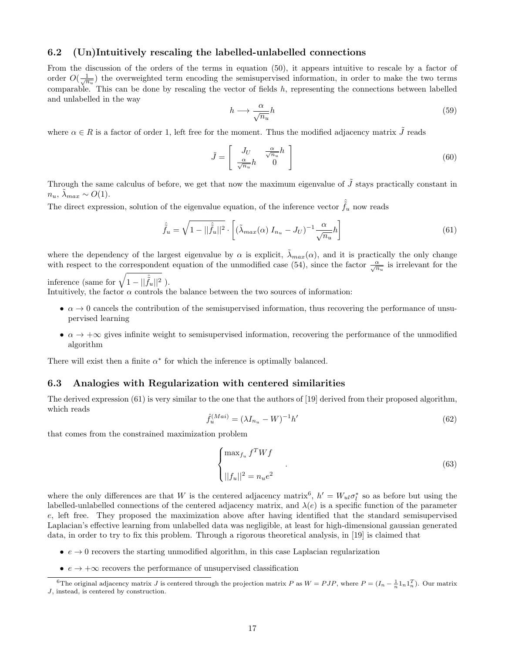#### 6.2 (Un)Intuitively rescaling the labelled-unlabelled connections

From the discussion of the orders of the terms in equation (50), it appears intuitive to rescale by a factor of order  $O(\frac{1}{\sqrt{n_u}})$  the overweighted term encoding the semisupervised information, in order to make the two terms comparable. This can be done by rescaling the vector of fields  $h$ , representing the connections between labelled and unlabelled in the way

$$
h \longrightarrow \frac{\alpha}{\sqrt{n_u}} h \tag{59}
$$

where  $\alpha \in R$  is a factor of order 1, left free for the moment. Thus the modified adjacency matrix  $\tilde{J}$  reads

$$
\tilde{J} = \begin{bmatrix} J_U & \frac{\alpha}{\sqrt{n_u}} h \\ \frac{\alpha}{\sqrt{n_u}} h & 0 \end{bmatrix}
$$
\n(60)

Through the same calculus of before, we get that now the maximum eigenvalue of  $\tilde{J}$  stays practically constant in  $n_u$ ,  $\lambda_{max} \sim O(1)$ .

The direct expression, solution of the eigenvalue equation, of the inference vector  $\tilde{f}_u$  now reads

$$
\hat{\tilde{f}}_u = \sqrt{1 - ||\hat{\tilde{f}}_u||^2} \cdot \left[ (\tilde{\lambda}_{max}(\alpha) I_{n_u} - J_U)^{-1} \frac{\alpha}{\sqrt{n_u}} h \right]
$$
\n(61)

where the dependency of the largest eigenvalue by  $\alpha$  is explicit,  $\lambda_{max}(\alpha)$ , and it is practically the only change with respect to the correspondent equation of the unmodified case (54), since the factor  $\frac{\alpha}{\sqrt{n_u}}$  is irrelevant for the

inference (same for  $\sqrt{1 - ||\hat{f}_u||^2}$ ).

Intuitively, the factor  $\alpha$  controls the balance between the two sources of information:

- $\alpha \to 0$  cancels the contribution of the semisupervised information, thus recovering the performance of unsupervised learning
- $\alpha \to +\infty$  gives infinite weight to semisupervised information, recovering the performance of the unmodified algorithm

There will exist then a finite  $\alpha^*$  for which the inference is optimally balanced.

#### 6.3 Analogies with Regularization with centered similarities

The derived expression (61) is very similar to the one that the authors of [19] derived from their proposed algorithm, which reads

$$
\hat{f}_u^{(Mai)} = (\lambda I_{n_u} - W)^{-1} h'
$$
\n(62)

that comes from the constrained maximization problem

$$
\begin{cases} \max_{f_u} f^T W f \\ \qquad \qquad \cdot \\ ||f_u||^2 = n_u e^2 \end{cases} \tag{63}
$$

where the only differences are that W is the centered adjacency matrix<sup>6</sup>,  $h' = W_{ul} \sigma_l^*$  so as before but using the labelled-unlabelled connections of the centered adjacency matrix, and  $\lambda(e)$  is a specific function of the parameter e, left free. They proposed the maximization above after having identified that the standard semisupervised Laplacian's effective learning from unlabelled data was negligible, at least for high-dimensional gaussian generated data, in order to try to fix this problem. Through a rigorous theoretical analysis, in [19] is claimed that

- $e \rightarrow 0$  recovers the starting unmodified algorithm, in this case Laplacian regularization
- $e \rightarrow +\infty$  recovers the performance of unsupervised classification

<sup>&</sup>lt;sup>6</sup>The original adjacency matrix J is centered through the projection matrix P as  $W = PJP$ , where  $P = (I_n - \frac{1}{n}I_nI_n^T)$ . Our matrix J, instead, is centered by construction.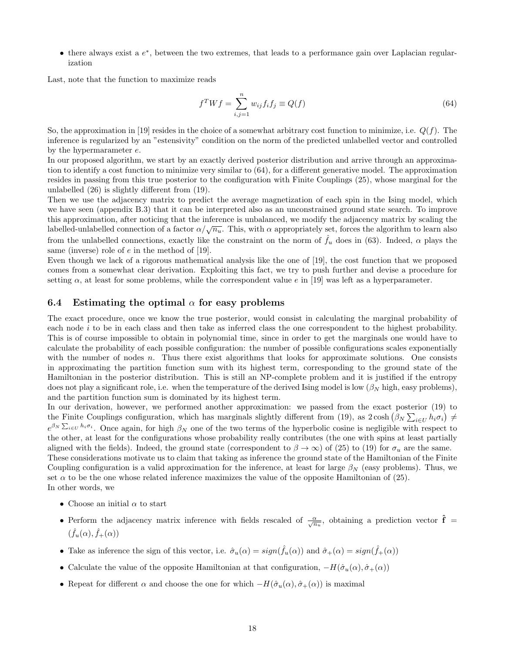$\bullet$  there always exist a  $e^*$ , between the two extremes, that leads to a performance gain over Laplacian regularization

Last, note that the function to maximize reads

$$
f^T W f = \sum_{i,j=1}^n w_{ij} f_i f_j \equiv Q(f) \tag{64}
$$

So, the approximation in [19] resides in the choice of a somewhat arbitrary cost function to minimize, i.e.  $Q(f)$ . The inference is regularized by an "estensivity" condition on the norm of the predicted unlabelled vector and controlled by the hypermarameter e.

In our proposed algorithm, we start by an exactly derived posterior distribution and arrive through an approximation to identify a cost function to minimize very similar to (64), for a different generative model. The approximation resides in passing from this true posterior to the configuration with Finite Couplings (25), whose marginal for the unlabelled (26) is slightly different from (19).

Then we use the adjacency matrix to predict the average magnetization of each spin in the Ising model, which we have seen (appendix B.3) that it can be interpreted also as an unconstrained ground state search. To improve this approximation, after noticing that the inference is unbalanced, we modify the adjacency matrix by scaling the labelled-unlabelled connection of a factor  $\alpha/\sqrt{n_u}$ . This, with  $\alpha$  appropriately set, forces the algorithm to learn also from the unlabelled connections, exactly like the constraint on the norm of  $\hat{f}_u$  does in (63). Indeed,  $\alpha$  plays the same (inverse) role of  $e$  in the method of [19].

Even though we lack of a rigorous mathematical analysis like the one of [19], the cost function that we proposed comes from a somewhat clear derivation. Exploiting this fact, we try to push further and devise a procedure for setting  $\alpha$ , at least for some problems, while the correspondent value e in [19] was left as a hyperparameter.

#### 6.4 Estimating the optimal  $\alpha$  for easy problems

The exact procedure, once we know the true posterior, would consist in calculating the marginal probability of each node i to be in each class and then take as inferred class the one correspondent to the highest probability. This is of course impossible to obtain in polynomial time, since in order to get the marginals one would have to calculate the probability of each possible configuration: the number of possible configurations scales exponentially with the number of nodes *n*. Thus there exist algorithms that looks for approximate solutions. One consists in approximating the partition function sum with its highest term, corresponding to the ground state of the Hamiltonian in the posterior distribution. This is still an NP-complete problem and it is justified if the entropy does not play a significant role, i.e. when the temperature of the derived Ising model is low  $(\beta_N)$  high, easy problems), and the partition function sum is dominated by its highest term.

In our derivation, however, we performed another approximation: we passed from the exact posterior (19) to the Finite Couplings configuration, which has marginals slightly different from (19), as  $2 \cosh(\beta_N \sum_{i \in U} h_i \sigma_i) \neq$  $e^{\beta_N \sum_{i\in U} h_i \sigma_i}$ . Once again, for high  $\beta_N$  one of the two terms of the hyperbolic cosine is negligible with respect to the other, at least for the configurations whose probability really contributes (the one with spins at least partially aligned with the fields). Indeed, the ground state (correspondent to  $\beta \to \infty$ ) of (25) to (19) for  $\sigma_u$  are the same. These considerations motivate us to claim that taking as inference the ground state of the Hamiltonian of the Finite Coupling configuration is a valid approximation for the inference, at least for large  $\beta_N$  (easy problems). Thus, we set  $\alpha$  to be the one whose related inference maximizes the value of the opposite Hamiltonian of (25).

In other words, we

- Choose an initial  $\alpha$  to start
- Perform the adjacency matrix inference with fields rescaled of  $\frac{\alpha}{\sqrt{n_u}}$ , obtaining a prediction vector  $\hat{\mathbf{f}}$  =  $(\hat{f}_u(\alpha), \hat{f}_+(\alpha))$
- Take as inference the sign of this vector, i.e.  $\hat{\sigma}_u(\alpha) = sign(\hat{f}_u(\alpha))$  and  $\hat{\sigma}_+(\alpha) = sign(\hat{f}_+(\alpha))$
- Calculate the value of the opposite Hamiltonian at that configuration,  $-H(\hat{\sigma}_u(\alpha), \hat{\sigma}_+(\alpha))$
- Repeat for different  $\alpha$  and choose the one for which  $-H(\hat{\sigma}_u(\alpha), \hat{\sigma}_+(\alpha))$  is maximal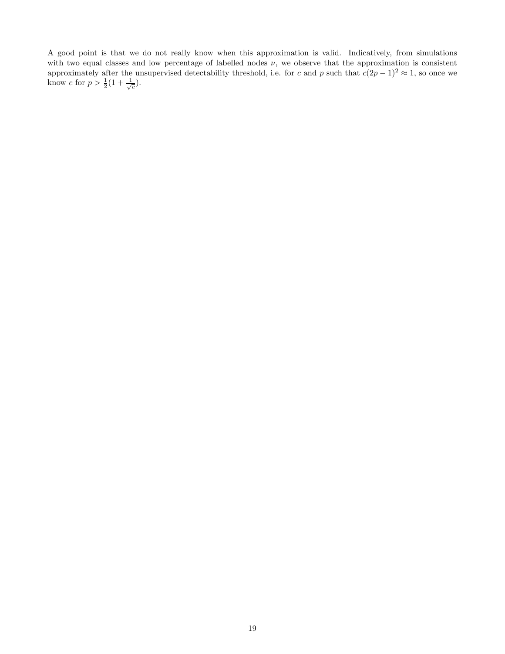A good point is that we do not really know when this approximation is valid. Indicatively, from simulations with two equal classes and low percentage of labelled nodes  $\nu$ , we observe that the approximation is consistent approximately after the unsupervised detectability threshold, i.e. for c and p such that  $c(2p-1)^2 \approx 1$ , so once we know c for  $p > \frac{1}{2}(1 + \frac{1}{\sqrt{c}})$ .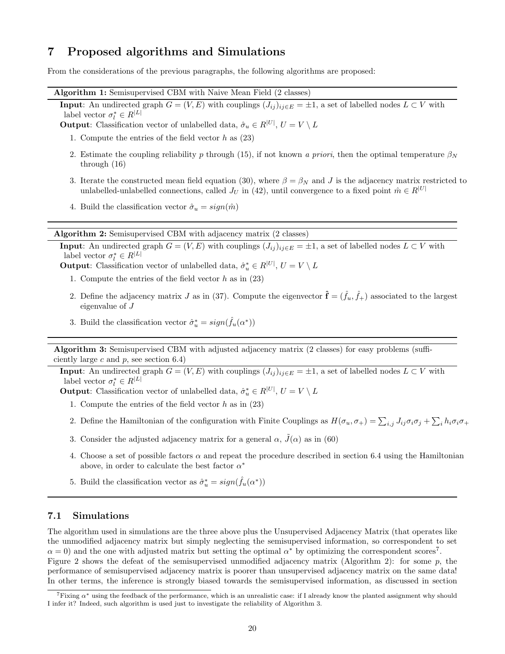# 7 Proposed algorithms and Simulations

From the considerations of the previous paragraphs, the following algorithms are proposed:

Algorithm 1: Semisupervised CBM with Naive Mean Field (2 classes)

**Input:** An undirected graph  $G = (V, E)$  with couplings  $(J_{ij})_{ij \in E} = \pm 1$ , a set of labelled nodes  $L \subset V$  with label vector  $\sigma_l^* \in R^{|L|}$ 

**Output:** Classification vector of unlabelled data,  $\hat{\sigma}_u \in R^{|U|}$ ,  $U = V \setminus L$ 

- 1. Compute the entries of the field vector  $h$  as  $(23)$
- 2. Estimate the coupling reliability p through (15), if not known a priori, then the optimal temperature  $\beta_N$ through (16)
- 3. Iterate the constructed mean field equation (30), where  $\beta = \beta_N$  and J is the adjacency matrix restricted to unlabelled-unlabelled connections, called  $J_U$  in (42), until convergence to a fixed point  $\hat{m} \in R^{|U|}$
- 4. Build the classification vector  $\hat{\sigma}_u = sign(\hat{m})$

Algorithm 2: Semisupervised CBM with adjacency matrix (2 classes)

**Input:** An undirected graph  $G = (V, E)$  with couplings  $(J_{ij})_{ij \in E} = \pm 1$ , a set of labelled nodes  $L \subset V$  with label vector  $\sigma_l^* \in R^{|L|}$ 

**Output**: Classification vector of unlabelled data,  $\hat{\sigma}_u^* \in R^{|U|}$ ,  $U = V \setminus L$ 

- 1. Compute the entries of the field vector  $h$  as in (23)
- 2. Define the adjacency matrix J as in (37). Compute the eigenvector  $\mathbf{\hat{f}} = (\hat{f}_u, \hat{f}_+)$  associated to the largest eigenvalue of J
- 3. Build the classification vector  $\hat{\sigma}_u^* = sign(\hat{f}_u(\alpha^*))$

Algorithm 3: Semisupervised CBM with adjusted adjacency matrix (2 classes) for easy problems (sufficiently large c and  $p$ , see section 6.4)

**Input:** An undirected graph  $G = (V, E)$  with couplings  $(J_{ij})_{ij \in E} = \pm 1$ , a set of labelled nodes  $L \subset V$  with label vector  $\sigma_l^* \in R^{|L|}$ 

**Output**: Classification vector of unlabelled data,  $\hat{\sigma}_u^* \in R^{|U|}$ ,  $U = V \setminus L$ 

- 1. Compute the entries of the field vector  $h$  as in  $(23)$
- 2. Define the Hamiltonian of the configuration with Finite Couplings as  $H(\sigma_u, \sigma_+) = \sum_{i,j} J_{ij} \sigma_i \sigma_j + \sum_i h_i \sigma_i \sigma_+$
- 3. Consider the adjusted adjacency matrix for a general  $\alpha$ ,  $\tilde{J}(\alpha)$  as in (60)
- 4. Choose a set of possible factors  $\alpha$  and repeat the procedure described in section 6.4 using the Hamiltonian above, in order to calculate the best factor  $\alpha^*$
- 5. Build the classification vector as  $\hat{\sigma}_u^* = sign(\hat{f}_u(\alpha^*))$

#### 7.1 Simulations

The algorithm used in simulations are the three above plus the Unsupervised Adjacency Matrix (that operates like the unmodified adjacency matrix but simply neglecting the semisupervised information, so correspondent to set  $\alpha = 0$ ) and the one with adjusted matrix but setting the optimal  $\alpha^*$  by optimizing the correspondent scores<sup>7</sup>.

Figure 2 shows the defeat of the semisupervised unmodified adjacency matrix (Algorithm 2): for some p, the performance of semisupervised adjacency matrix is poorer than unsupervised adjacency matrix on the same data! In other terms, the inference is strongly biased towards the semisupervised information, as discussed in section

 $\tau$ Fixing  $\alpha^*$  using the feedback of the performance, which is an unrealistic case: if I already know the planted assignment why should I infer it? Indeed, such algorithm is used just to investigate the reliability of Algorithm 3.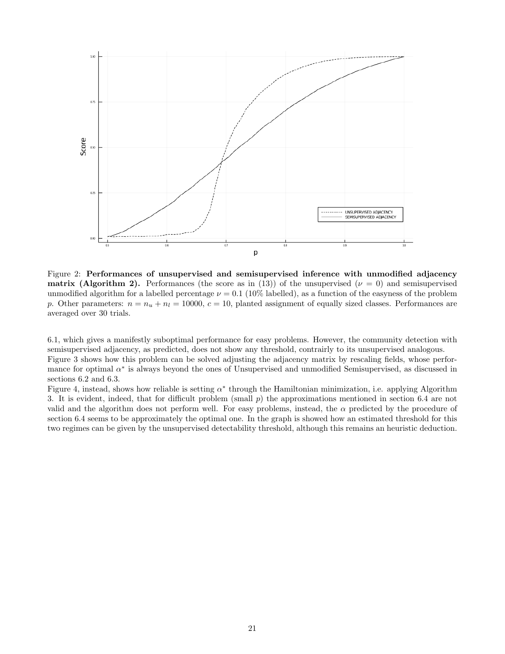

Figure 2: Performances of unsupervised and semisupervised inference with unmodified adjacency **matrix (Algorithm 2).** Performances (the score as in (13)) of the unsupervised ( $\nu = 0$ ) and semisupervised unmodified algorithm for a labelled percentage  $\nu = 0.1$  (10% labelled), as a function of the easyness of the problem p. Other parameters:  $n = n_u + n_l = 10000$ ,  $c = 10$ , planted assignment of equally sized classes. Performances are averaged over 30 trials.

6.1, which gives a manifestly suboptimal performance for easy problems. However, the community detection with semisupervised adjacency, as predicted, does not show any threshold, contrairly to its unsupervised analogous.

Figure 3 shows how this problem can be solved adjusting the adjacency matrix by rescaling fields, whose performance for optimal  $\alpha^*$  is always beyond the ones of Unsupervised and unmodified Semisupervised, as discussed in sections 6.2 and 6.3.

Figure 4, instead, shows how reliable is setting  $\alpha^*$  through the Hamiltonian minimization, i.e. applying Algorithm 3. It is evident, indeed, that for difficult problem (small p) the approximations mentioned in section 6.4 are not valid and the algorithm does not perform well. For easy problems, instead, the  $\alpha$  predicted by the procedure of section 6.4 seems to be approximately the optimal one. In the graph is showed how an estimated threshold for this two regimes can be given by the unsupervised detectability threshold, although this remains an heuristic deduction.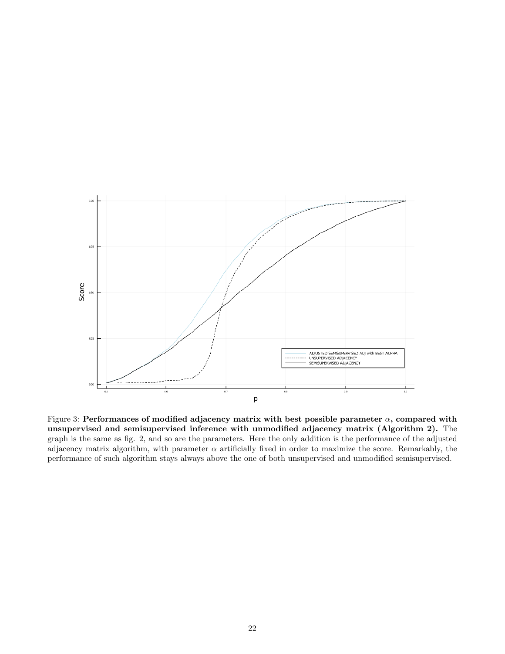

Figure 3: Performances of modified adjacency matrix with best possible parameter  $\alpha$ , compared with unsupervised and semisupervised inference with unmodified adjacency matrix (Algorithm 2). The graph is the same as fig. 2, and so are the parameters. Here the only addition is the performance of the adjusted adjacency matrix algorithm, with parameter  $\alpha$  artificially fixed in order to maximize the score. Remarkably, the performance of such algorithm stays always above the one of both unsupervised and unmodified semisupervised.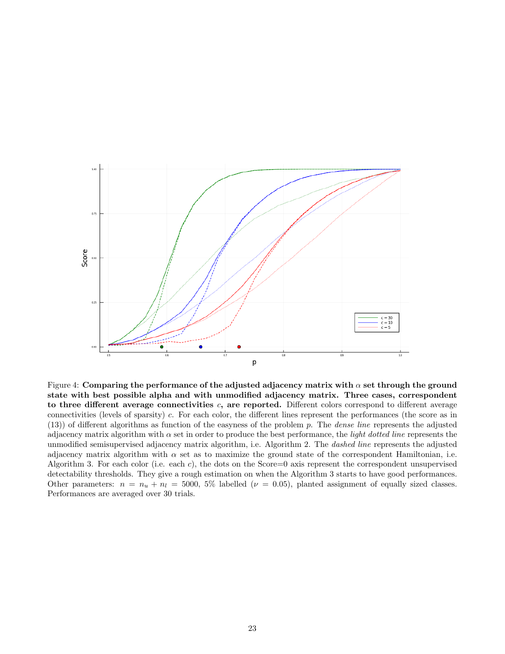

Figure 4: Comparing the performance of the adjusted adjacency matrix with  $\alpha$  set through the ground state with best possible alpha and with unmodified adjacency matrix. Three cases, correspondent to three different average connectivities  $c$ , are reported. Different colors correspond to different average connectivities (levels of sparsity) c. For each color, the different lines represent the performances (the score as in  $(13)$ ) of different algorithms as function of the easyness of the problem p. The *dense line* represents the adjusted adjacency matrix algorithm with  $\alpha$  set in order to produce the best performance, the *light dotted line* represents the unmodified semisupervised adjacency matrix algorithm, i.e. Algorithm 2. The *dashed line* represents the adjusted adjacency matrix algorithm with  $\alpha$  set as to maximize the ground state of the correspondent Hamiltonian, i.e. Algorithm 3. For each color (i.e. each c), the dots on the Score=0 axis represent the correspondent unsupervised detectability thresholds. They give a rough estimation on when the Algorithm 3 starts to have good performances. Other parameters:  $n = n_u + n_l = 5000, 5\%$  labelled ( $\nu = 0.05$ ), planted assignment of equally sized classes. Performances are averaged over 30 trials.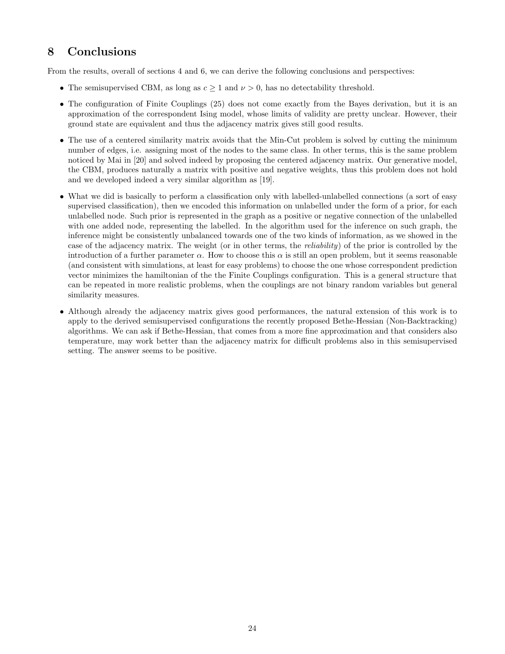# 8 Conclusions

From the results, overall of sections 4 and 6, we can derive the following conclusions and perspectives:

- The semisupervised CBM, as long as  $c \geq 1$  and  $\nu > 0$ , has no detectability threshold.
- The configuration of Finite Couplings (25) does not come exactly from the Bayes derivation, but it is an approximation of the correspondent Ising model, whose limits of validity are pretty unclear. However, their ground state are equivalent and thus the adjacency matrix gives still good results.
- The use of a centered similarity matrix avoids that the Min-Cut problem is solved by cutting the minimum number of edges, i.e. assigning most of the nodes to the same class. In other terms, this is the same problem noticed by Mai in [20] and solved indeed by proposing the centered adjacency matrix. Our generative model, the CBM, produces naturally a matrix with positive and negative weights, thus this problem does not hold and we developed indeed a very similar algorithm as [19].
- What we did is basically to perform a classification only with labelled-unlabelled connections (a sort of easy supervised classification), then we encoded this information on unlabelled under the form of a prior, for each unlabelled node. Such prior is represented in the graph as a positive or negative connection of the unlabelled with one added node, representing the labelled. In the algorithm used for the inference on such graph, the inference might be consistently unbalanced towards one of the two kinds of information, as we showed in the case of the adjacency matrix. The weight (or in other terms, the reliability) of the prior is controlled by the introduction of a further parameter  $\alpha$ . How to choose this  $\alpha$  is still an open problem, but it seems reasonable (and consistent with simulations, at least for easy problems) to choose the one whose correspondent prediction vector minimizes the hamiltonian of the the Finite Couplings configuration. This is a general structure that can be repeated in more realistic problems, when the couplings are not binary random variables but general similarity measures.
- Although already the adjacency matrix gives good performances, the natural extension of this work is to apply to the derived semisupervised configurations the recently proposed Bethe-Hessian (Non-Backtracking) algorithms. We can ask if Bethe-Hessian, that comes from a more fine approximation and that considers also temperature, may work better than the adjacency matrix for difficult problems also in this semisupervised setting. The answer seems to be positive.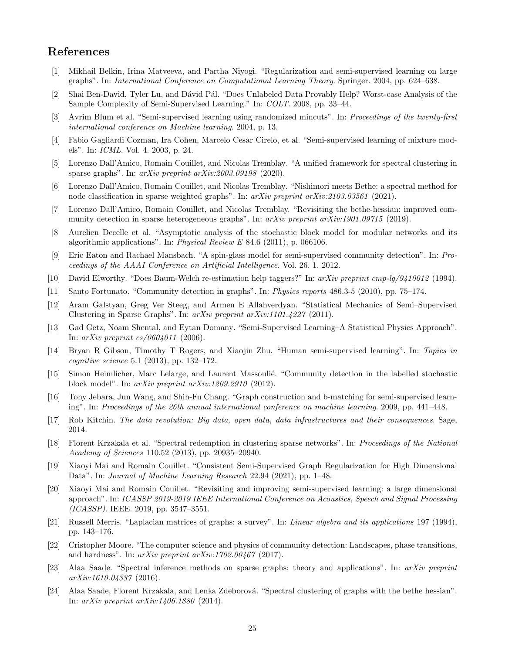# References

- [1] Mikhail Belkin, Irina Matveeva, and Partha Niyogi. "Regularization and semi-supervised learning on large graphs". In: International Conference on Computational Learning Theory. Springer. 2004, pp. 624–638.
- [2] Shai Ben-David, Tyler Lu, and Dávid Pál. "Does Unlabeled Data Provably Help? Worst-case Analysis of the Sample Complexity of Semi-Supervised Learning." In: COLT. 2008, pp. 33–44.
- [3] Avrim Blum et al. "Semi-supervised learning using randomized mincuts". In: Proceedings of the twenty-first international conference on Machine learning. 2004, p. 13.
- [4] Fabio Gagliardi Cozman, Ira Cohen, Marcelo Cesar Cirelo, et al. "Semi-supervised learning of mixture models". In: ICML. Vol. 4. 2003, p. 24.
- [5] Lorenzo Dall'Amico, Romain Couillet, and Nicolas Tremblay. "A unified framework for spectral clustering in sparse graphs". In: *arXiv preprint arXiv:2003.09198* (2020).
- [6] Lorenzo Dall'Amico, Romain Couillet, and Nicolas Tremblay. "Nishimori meets Bethe: a spectral method for node classification in sparse weighted graphs". In: arXiv preprint arXiv:2103.03561 (2021).
- [7] Lorenzo Dall'Amico, Romain Couillet, and Nicolas Tremblay. "Revisiting the bethe-hessian: improved community detection in sparse heterogeneous graphs". In:  $arXiv$  preprint  $arXiv:1901.09715$  (2019).
- [8] Aurelien Decelle et al. "Asymptotic analysis of the stochastic block model for modular networks and its algorithmic applications". In: Physical Review E 84.6 (2011), p. 066106.
- [9] Eric Eaton and Rachael Mansbach. "A spin-glass model for semi-supervised community detection". In: Proceedings of the AAAI Conference on Artificial Intelligence. Vol. 26. 1. 2012.
- [10] David Elworthy. "Does Baum-Welch re-estimation help taggers?" In: arXiv preprint cmp-lg/9410012 (1994).
- [11] Santo Fortunato. "Community detection in graphs". In: Physics reports 486.3-5 (2010), pp. 75–174.
- [12] Aram Galstyan, Greg Ver Steeg, and Armen E Allahverdyan. "Statistical Mechanics of Semi–Supervised Clustering in Sparse Graphs". In: arXiv preprint arXiv:1101.4227 (2011).
- [13] Gad Getz, Noam Shental, and Eytan Domany. "Semi-Supervised Learning–A Statistical Physics Approach". In:  $arXiv$  preprint  $cs/0604011$  (2006).
- [14] Bryan R Gibson, Timothy T Rogers, and Xiaojin Zhu. "Human semi-supervised learning". In: Topics in cognitive science 5.1 (2013), pp. 132–172.
- [15] Simon Heimlicher, Marc Lelarge, and Laurent Massoulié. "Community detection in the labelled stochastic block model". In: arXiv preprint arXiv:1209.2910 (2012).
- [16] Tony Jebara, Jun Wang, and Shih-Fu Chang. "Graph construction and b-matching for semi-supervised learning". In: Proceedings of the 26th annual international conference on machine learning. 2009, pp. 441–448.
- [17] Rob Kitchin. The data revolution: Big data, open data, data infrastructures and their consequences. Sage, 2014.
- [18] Florent Krzakala et al. "Spectral redemption in clustering sparse networks". In: Proceedings of the National Academy of Sciences 110.52 (2013), pp. 20935–20940.
- [19] Xiaoyi Mai and Romain Couillet. "Consistent Semi-Supervised Graph Regularization for High Dimensional Data". In: Journal of Machine Learning Research 22.94 (2021), pp. 1–48.
- [20] Xiaoyi Mai and Romain Couillet. "Revisiting and improving semi-supervised learning: a large dimensional approach". In: ICASSP 2019-2019 IEEE International Conference on Acoustics, Speech and Signal Processing (ICASSP). IEEE. 2019, pp. 3547–3551.
- [21] Russell Merris. "Laplacian matrices of graphs: a survey". In: Linear algebra and its applications 197 (1994), pp. 143–176.
- [22] Cristopher Moore. "The computer science and physics of community detection: Landscapes, phase transitions, and hardness". In:  $arXiv$  preprint  $arXiv:1702.00467$  (2017).
- [23] Alaa Saade. "Spectral inference methods on sparse graphs: theory and applications". In: arXiv preprint arXiv:1610.04337 (2016).
- [24] Alaa Saade, Florent Krzakala, and Lenka Zdeborová. "Spectral clustering of graphs with the bethe hessian". In: arXiv preprint arXiv:1406.1880 (2014).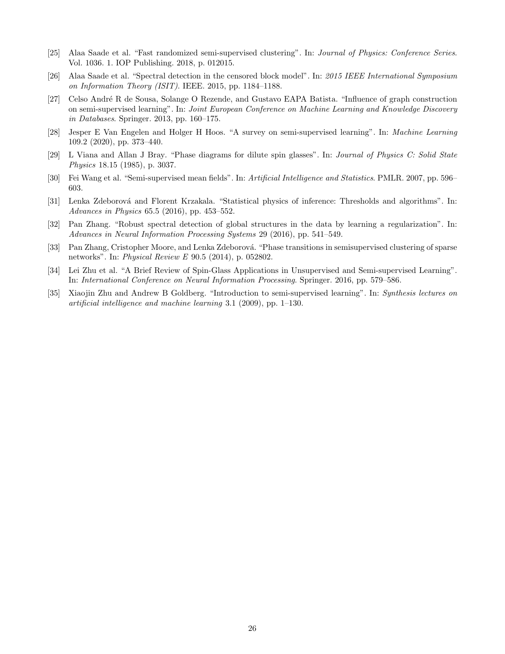- [25] Alaa Saade et al. "Fast randomized semi-supervised clustering". In: Journal of Physics: Conference Series. Vol. 1036. 1. IOP Publishing. 2018, p. 012015.
- [26] Alaa Saade et al. "Spectral detection in the censored block model". In: 2015 IEEE International Symposium on Information Theory (ISIT). IEEE. 2015, pp. 1184–1188.
- [27] Celso Andr´e R de Sousa, Solange O Rezende, and Gustavo EAPA Batista. "Influence of graph construction on semi-supervised learning". In: Joint European Conference on Machine Learning and Knowledge Discovery in Databases. Springer. 2013, pp. 160–175.
- [28] Jesper E Van Engelen and Holger H Hoos. "A survey on semi-supervised learning". In: Machine Learning 109.2 (2020), pp. 373–440.
- [29] L Viana and Allan J Bray. "Phase diagrams for dilute spin glasses". In: Journal of Physics C: Solid State Physics 18.15 (1985), p. 3037.
- [30] Fei Wang et al. "Semi-supervised mean fields". In: Artificial Intelligence and Statistics. PMLR. 2007, pp. 596– 603.
- [31] Lenka Zdeborová and Florent Krzakala. "Statistical physics of inference: Thresholds and algorithms". In: Advances in Physics 65.5 (2016), pp. 453–552.
- [32] Pan Zhang. "Robust spectral detection of global structures in the data by learning a regularization". In: Advances in Neural Information Processing Systems 29 (2016), pp. 541–549.
- [33] Pan Zhang, Cristopher Moore, and Lenka Zdeborová. "Phase transitions in semisupervised clustering of sparse networks". In: Physical Review E 90.5 (2014), p. 052802.
- [34] Lei Zhu et al. "A Brief Review of Spin-Glass Applications in Unsupervised and Semi-supervised Learning". In: International Conference on Neural Information Processing. Springer. 2016, pp. 579–586.
- [35] Xiaojin Zhu and Andrew B Goldberg. "Introduction to semi-supervised learning". In: Synthesis lectures on artificial intelligence and machine learning 3.1 (2009), pp. 1–130.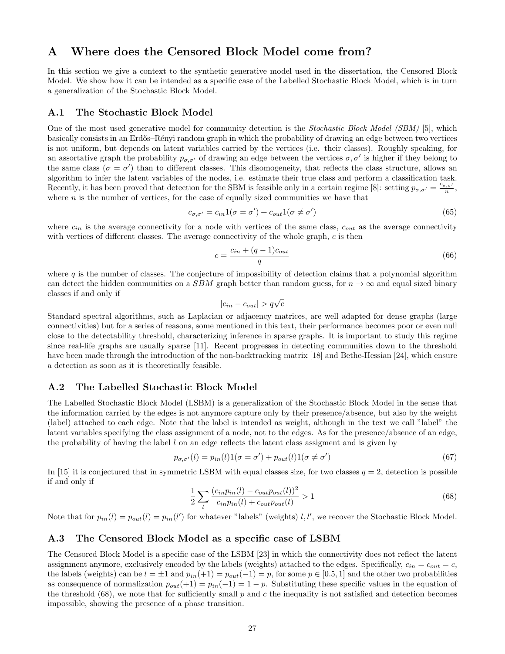# A Where does the Censored Block Model come from?

In this section we give a context to the synthetic generative model used in the dissertation, the Censored Block Model. We show how it can be intended as a specific case of the Labelled Stochastic Block Model, which is in turn a generalization of the Stochastic Block Model.

#### A.1 The Stochastic Block Model

One of the most used generative model for community detection is the Stochastic Block Model (SBM) [5], which basically consists in an Erd˝os–R´enyi random graph in which the probability of drawing an edge between two vertices is not uniform, but depends on latent variables carried by the vertices (i.e. their classes). Roughly speaking, for an assortative graph the probability  $p_{\sigma,\sigma'}$  of drawing an edge between the vertices  $\sigma,\sigma'$  is higher if they belong to the same class ( $\sigma = \sigma'$ ) than to different classes. This disomogeneity, that reflects the class structure, allows an algorithm to infer the latent variables of the nodes, i.e. estimate their true class and perform a classification task. Recently, it has been proved that detection for the SBM is feasible only in a certain regime [8]: setting  $p_{\sigma,\sigma'} = \frac{c_{\sigma,\sigma'}}{n}$ , where  $n$  is the number of vertices, for the case of equally sized communities we have that

$$
c_{\sigma,\sigma'} = c_{in} 1(\sigma = \sigma') + c_{out} 1(\sigma \neq \sigma')
$$
\n(65)

where  $c_{in}$  is the average connectivity for a node with vertices of the same class,  $c_{out}$  as the average connectivity with vertices of different classes. The average connectivity of the whole graph,  $c$  is then

$$
c = \frac{c_{in} + (q-1)c_{out}}{q}
$$
\n
$$
(66)
$$

where q is the number of classes. The conjecture of impossibility of detection claims that a polynomial algorithm can detect the hidden communities on a SBM graph better than random guess, for  $n \to \infty$  and equal sized binary classes if and only if

$$
|c_{in} - c_{out}| > q\sqrt{c}
$$

Standard spectral algorithms, such as Laplacian or adjacency matrices, are well adapted for dense graphs (large connectivities) but for a series of reasons, some mentioned in this text, their performance becomes poor or even null close to the detectability threshold, characterizing inference in sparse graphs. It is important to study this regime since real-life graphs are usually sparse [11]. Recent progresses in detecting communities down to the threshold have been made through the introduction of the non-backtracking matrix [18] and Bethe-Hessian [24], which ensure a detection as soon as it is theoretically feasible.

#### A.2 The Labelled Stochastic Block Model

The Labelled Stochastic Block Model (LSBM) is a generalization of the Stochastic Block Model in the sense that the information carried by the edges is not anymore capture only by their presence/absence, but also by the weight (label) attached to each edge. Note that the label is intended as weight, although in the text we call "label" the latent variables specifying the class assignment of a node, not to the edges. As for the presence/absence of an edge, the probability of having the label  $l$  on an edge reflects the latent class assigment and is given by

$$
p_{\sigma,\sigma'}(l) = p_{in}(l)1(\sigma = \sigma') + p_{out}(l)1(\sigma \neq \sigma')
$$
\n(67)

In [15] it is conjectured that in symmetric LSBM with equal classes size, for two classes  $q = 2$ , detection is possible if and only if

$$
\frac{1}{2} \sum_{l} \frac{(c_{in} p_{in}(l) - c_{out} p_{out}(l))^2}{c_{in} p_{in}(l) + c_{out} p_{out}(l)} > 1
$$
\n(68)

Note that for  $p_{in}(l) = p_{out}(l) = p_{in}(l')$  for whatever "labels" (weights) *l*,*l'*, we recover the Stochastic Block Model.

#### A.3 The Censored Block Model as a specific case of LSBM

The Censored Block Model is a specific case of the LSBM [23] in which the connectivity does not reflect the latent assignment anymore, exclusively encoded by the labels (weights) attached to the edges. Specifically,  $c_{in} = c_{out} = c$ , the labels (weights) can be  $l = \pm 1$  and  $p_{in}(+1) = p_{out}(-1) = p$ , for some  $p \in [0.5, 1]$  and the other two probabilities as consequence of normalization  $p_{out}(+1) = p_{in}(-1) = 1 - p$ . Substituting these specific values in the equation of the threshold  $(68)$ , we note that for sufficiently small p and c the inequality is not satisfied and detection becomes impossible, showing the presence of a phase transition.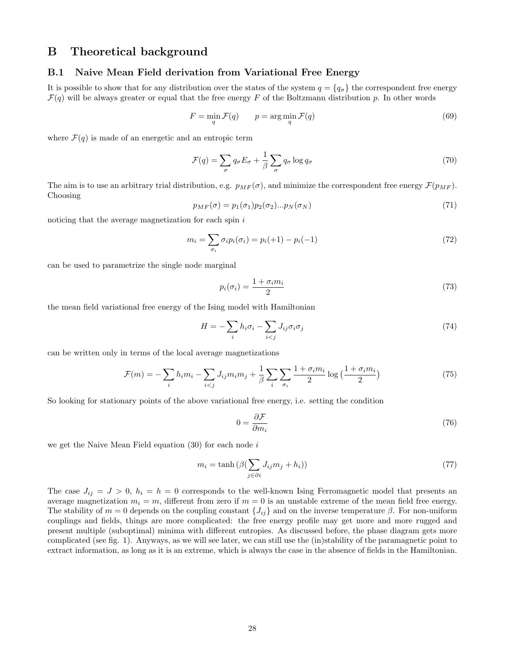# B Theoretical background

#### B.1 Naive Mean Field derivation from Variational Free Energy

It is possible to show that for any distribution over the states of the system  $q = \{q_q\}$  the correspondent free energy  $\mathcal{F}(q)$  will be always greater or equal that the free energy F of the Boltzmann distribution p. In other words

$$
F = \min_{q} \mathcal{F}(q) \qquad p = \arg\min_{q} \mathcal{F}(q) \tag{69}
$$

where  $\mathcal{F}(q)$  is made of an energetic and an entropic term

$$
\mathcal{F}(q) = \sum_{\sigma} q_{\sigma} E_{\sigma} + \frac{1}{\beta} \sum_{\sigma} q_{\sigma} \log q_{\sigma}
$$
\n(70)

The aim is to use an arbitrary trial distribution, e.g.  $p_{MF}(\sigma)$ , and minimize the correspondent free energy  $\mathcal{F}(p_{MF})$ . Choosing

$$
p_{MF}(\sigma) = p_1(\sigma_1)p_2(\sigma_2)...p_N(\sigma_N)
$$
\n(71)

noticing that the average magnetization for each spin i

$$
m_i = \sum_{\sigma_i} \sigma_i p_i(\sigma_i) = p_i(+1) - p_i(-1) \tag{72}
$$

can be used to parametrize the single node marginal

$$
p_i(\sigma_i) = \frac{1 + \sigma_i m_i}{2} \tag{73}
$$

the mean field variational free energy of the Ising model with Hamiltonian

$$
H = -\sum_{i} h_i \sigma_i - \sum_{i < j} J_{ij} \sigma_i \sigma_j \tag{74}
$$

can be written only in terms of the local average magnetizations

$$
\mathcal{F}(m) = -\sum_{i} h_i m_i - \sum_{i < j} J_{ij} m_i m_j + \frac{1}{\beta} \sum_{i} \sum_{\sigma_i} \frac{1 + \sigma_i m_i}{2} \log\left(\frac{1 + \sigma_i m_i}{2}\right) \tag{75}
$$

So looking for stationary points of the above variational free energy, i.e. setting the condition

$$
0 = \frac{\partial \mathcal{F}}{\partial m_i} \tag{76}
$$

we get the Naive Mean Field equation  $(30)$  for each node i

$$
m_i = \tanh\left(\beta(\sum_{j \in \partial i} J_{ij}m_j + h_i)\right) \tag{77}
$$

The case  $J_{ij} = J > 0$ ,  $h_i = h = 0$  corresponds to the well-known Ising Ferromagnetic model that presents an average magnetization  $m_i = m$ , different from zero if  $m = 0$  is an unstable extreme of the mean field free energy. The stability of  $m = 0$  depends on the coupling constant  $\{J_{ij}\}\$ and on the inverse temperature β. For non-uniform couplings and fields, things are more complicated: the free energy profile may get more and more rugged and present multiple (suboptimal) minima with different entropies. As discussed before, the phase diagram gets more complicated (see fig. 1). Anyways, as we will see later, we can still use the (in)stability of the paramagnetic point to extract information, as long as it is an extreme, which is always the case in the absence of fields in the Hamiltonian.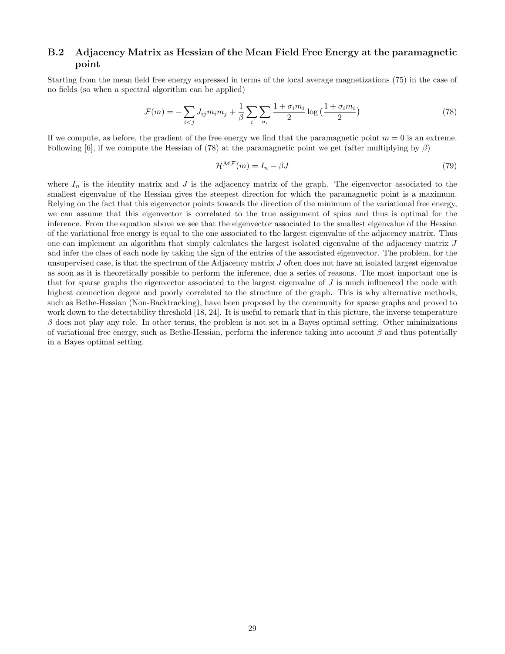#### B.2 Adjacency Matrix as Hessian of the Mean Field Free Energy at the paramagnetic point

Starting from the mean field free energy expressed in terms of the local average magnetizations (75) in the case of no fields (so when a spectral algorithm can be applied)

$$
\mathcal{F}(m) = -\sum_{i < j} J_{ij} m_i m_j + \frac{1}{\beta} \sum_i \sum_{\sigma_i} \frac{1 + \sigma_i m_i}{2} \log\left(\frac{1 + \sigma_i m_i}{2}\right) \tag{78}
$$

If we compute, as before, the gradient of the free energy we find that the paramagnetic point  $m = 0$  is an extreme. Following [6], if we compute the Hessian of (78) at the paramagnetic point we get (after multiplying by  $\beta$ )

$$
\mathcal{H}^{\mathcal{MF}}(m) = I_n - \beta J \tag{79}
$$

where  $I_n$  is the identity matrix and J is the adjacency matrix of the graph. The eigenvector associated to the smallest eigenvalue of the Hessian gives the steepest direction for which the paramagnetic point is a maximum. Relying on the fact that this eigenvector points towards the direction of the minimum of the variational free energy, we can assume that this eigenvector is correlated to the true assignment of spins and thus is optimal for the inference. From the equation above we see that the eigenvector associated to the smallest eigenvalue of the Hessian of the variational free energy is equal to the one associated to the largest eigenvalue of the adjacency matrix. Thus one can implement an algorithm that simply calculates the largest isolated eigenvalue of the adjacency matrix J and infer the class of each node by taking the sign of the entries of the associated eigenvector. The problem, for the unsupervised case, is that the spectrum of the Adjacency matrix  $J$  often does not have an isolated largest eigenvalue as soon as it is theoretically possible to perform the inference, due a series of reasons. The most important one is that for sparse graphs the eigenvector associated to the largest eigenvalue of  $J$  is much influenced the node with highest connection degree and poorly correlated to the structure of the graph. This is why alternative methods, such as Bethe-Hessian (Non-Backtracking), have been proposed by the community for sparse graphs and proved to work down to the detectability threshold [18, 24]. It is useful to remark that in this picture, the inverse temperature  $\beta$  does not play any role. In other terms, the problem is not set in a Bayes optimal setting. Other minimizations of variational free energy, such as Bethe-Hessian, perform the inference taking into account  $\beta$  and thus potentially in a Bayes optimal setting.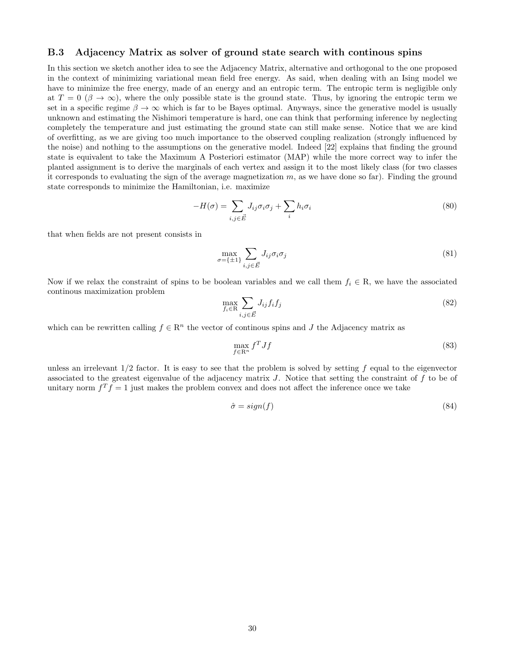#### B.3 Adjacency Matrix as solver of ground state search with continous spins

In this section we sketch another idea to see the Adjacency Matrix, alternative and orthogonal to the one proposed in the context of minimizing variational mean field free energy. As said, when dealing with an Ising model we have to minimize the free energy, made of an energy and an entropic term. The entropic term is negligible only at  $T = 0 \ (\beta \to \infty)$ , where the only possible state is the ground state. Thus, by ignoring the entropic term we set in a specific regime  $\beta \to \infty$  which is far to be Bayes optimal. Anyways, since the generative model is usually unknown and estimating the Nishimori temperature is hard, one can think that performing inference by neglecting completely the temperature and just estimating the ground state can still make sense. Notice that we are kind of overfitting, as we are giving too much importance to the observed coupling realization (strongly influenced by the noise) and nothing to the assumptions on the generative model. Indeed [22] explains that finding the ground state is equivalent to take the Maximum A Posteriori estimator (MAP) while the more correct way to infer the planted assignment is to derive the marginals of each vertex and assign it to the most likely class (for two classes it corresponds to evaluating the sign of the average magnetization  $m$ , as we have done so far). Finding the ground state corresponds to minimize the Hamiltonian, i.e. maximize

$$
-H(\sigma) = \sum_{i,j \in \vec{E}} J_{ij} \sigma_i \sigma_j + \sum_i h_i \sigma_i
$$
\n(80)

that when fields are not present consists in

$$
\max_{\sigma=\{\pm 1\}} \sum_{i,j \in \vec{E}} J_{ij} \sigma_i \sigma_j \tag{81}
$$

Now if we relax the constraint of spins to be boolean variables and we call them  $f_i \in R$ , we have the associated continous maximization problem

$$
\max_{f_i \in \mathcal{R}} \sum_{i,j \in \vec{E}} J_{ij} f_i f_j \tag{82}
$$

which can be rewritten calling  $f \in \mathbb{R}^n$  the vector of continous spins and J the Adjacency matrix as

$$
\max_{f \in \mathbb{R}^n} f^T J f \tag{83}
$$

unless an irrelevant  $1/2$  factor. It is easy to see that the problem is solved by setting f equal to the eigenvector associated to the greatest eigenvalue of the adjacency matrix  $J$ . Notice that setting the constraint of  $f$  to be of unitary norm  $f^T f = 1$  just makes the problem convex and does not affect the inference once we take

$$
\hat{\sigma} = sign(f) \tag{84}
$$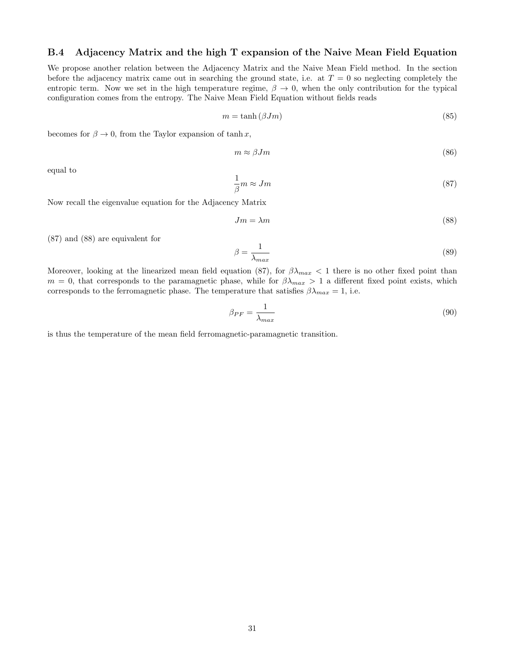#### B.4 Adjacency Matrix and the high T expansion of the Naive Mean Field Equation

We propose another relation between the Adjacency Matrix and the Naive Mean Field method. In the section before the adjacency matrix came out in searching the ground state, i.e. at  $T = 0$  so neglecting completely the entropic term. Now we set in the high temperature regime,  $\beta \to 0$ , when the only contribution for the typical configuration comes from the entropy. The Naive Mean Field Equation without fields reads

$$
m = \tanh\left(\beta Jm\right) \tag{85}
$$

becomes for  $\beta \to 0$ , from the Taylor expansion of tanh x,

$$
m \approx \beta J m \tag{86}
$$

equal to

$$
\frac{1}{\beta}m \approx Jm\tag{87}
$$

Now recall the eigenvalue equation for the Adjacency Matrix

$$
Jm = \lambda m \tag{88}
$$

(87) and (88) are equivalent for

$$
\beta = \frac{1}{\lambda_{max}}\tag{89}
$$

Moreover, looking at the linearized mean field equation (87), for  $\beta\lambda_{max} < 1$  there is no other fixed point than  $m = 0$ , that corresponds to the paramagnetic phase, while for  $\beta \lambda_{max} > 1$  a different fixed point exists, which corresponds to the ferromagnetic phase. The temperature that satisfies  $\beta \lambda_{max} = 1$ , i.e.

$$
\beta_{PF} = \frac{1}{\lambda_{max}}\tag{90}
$$

is thus the temperature of the mean field ferromagnetic-paramagnetic transition.